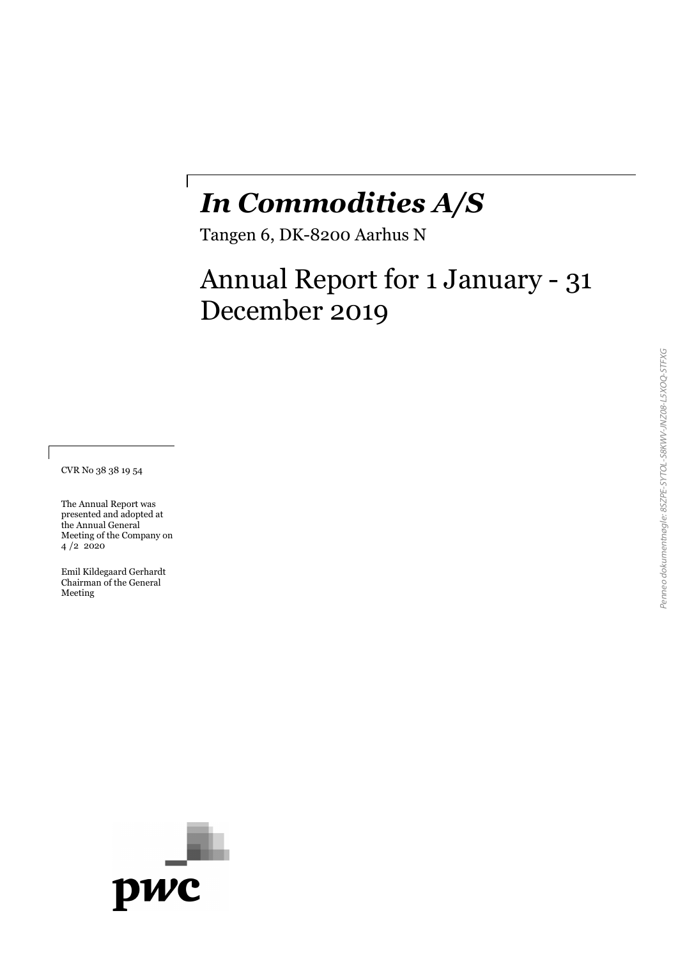# *In Commodities A/S*

Tangen 6, DK-8200 Aarhus N

 $\overline{\phantom{a}}$ 

# Annual Report for 1 January - 31 December 2019

CVR No 38 38 19 54

The Annual Report was presented and adopted at the Annual General Meeting of the Company on 4 /2 2020

Emil Kildegaard Gerhardt Chairman of the General Meeting

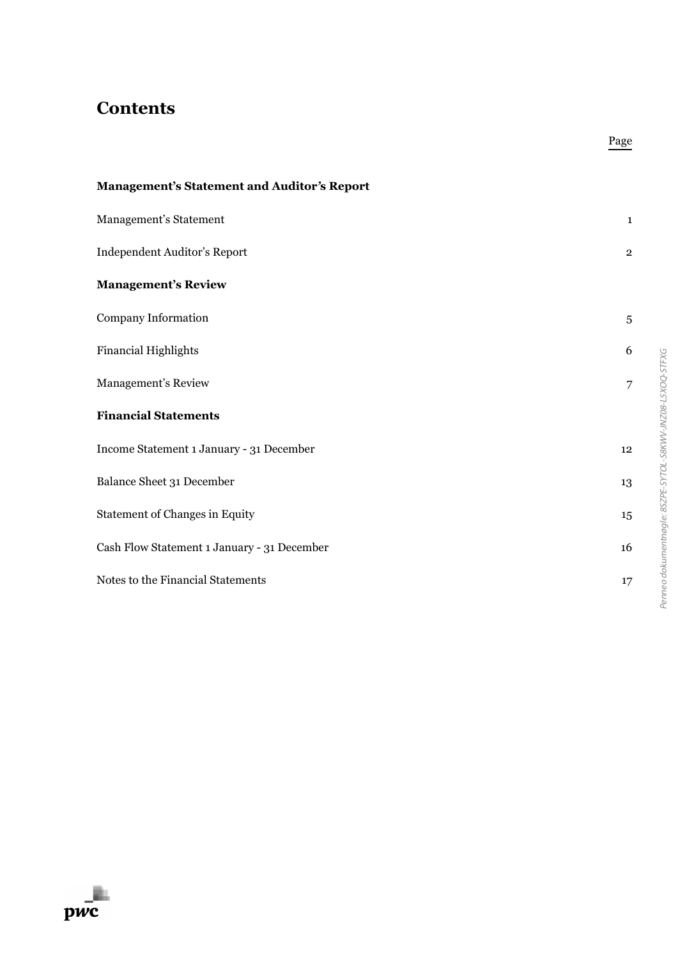# **Contents**

| <b>Management's Statement and Auditor's Report</b> |                |
|----------------------------------------------------|----------------|
| Management's Statement                             | $\mathbf{1}$   |
| Independent Auditor's Report                       | $\overline{2}$ |
| <b>Management's Review</b>                         |                |
| Company Information                                | 5              |
| <b>Financial Highlights</b>                        | 6              |
| Management's Review                                | 7              |
| <b>Financial Statements</b>                        |                |
| Income Statement 1 January - 31 December           | 12             |
| Balance Sheet 31 December                          | 13             |
| <b>Statement of Changes in Equity</b>              | 15             |
| Cash Flow Statement 1 January - 31 December        | 16             |
| Notes to the Financial Statements                  | 17             |

Page

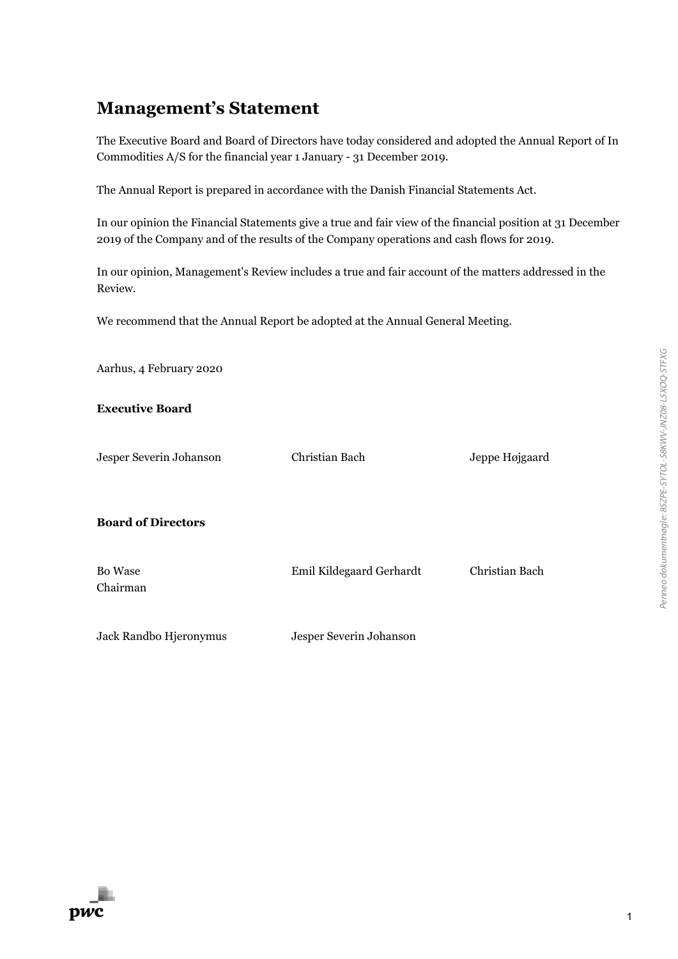### **Management's Statement**

The Executive Board and Board of Directors have today considered and adopted the Annual Report of In Commodities A/S for the financial year 1 January - 31 December 2019.

The Annual Report is prepared in accordance with the Danish Financial Statements Act.

In our opinion the Financial Statements give a true and fair view of the financial position at 31 December 2019 of the Company and of the results of the Company operations and cash flows for 2019.

In our opinion, Management's Review includes a true and fair account of the matters addressed in the Review.

We recommend that the Annual Report be adopted at the Annual General Meeting.

| Aarhus, 4 February 2020    |                          |                |
|----------------------------|--------------------------|----------------|
| <b>Executive Board</b>     |                          |                |
| Jesper Severin Johanson    | Christian Bach           | Jeppe Højgaard |
| <b>Board of Directors</b>  |                          |                |
| <b>Bo</b> Wase<br>Chairman | Emil Kildegaard Gerhardt | Christian Bach |
| Jack Randbo Hjeronymus     | Jesper Severin Johanson  |                |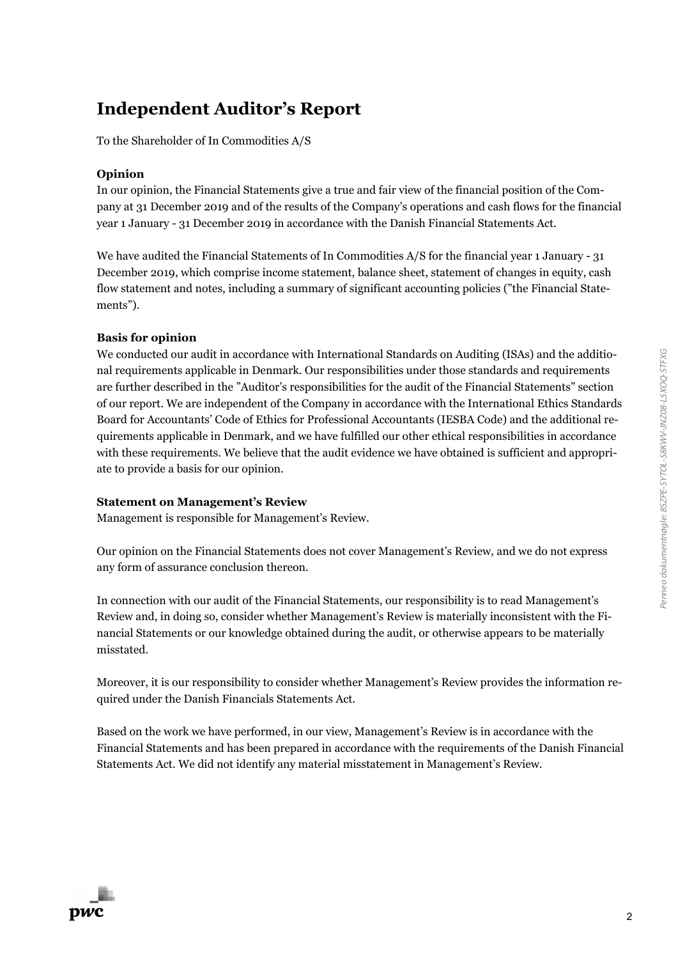## **Independent Auditor's Report**

To the Shareholder of In Commodities A/S

#### **Opinion**

In our opinion, the Financial Statements give a true and fair view of the financial position of the Company at 31 December 2019 and of the results of the Company's operations and cash flows for the financial year 1 January - 31 December 2019 in accordance with the Danish Financial Statements Act.

We have audited the Financial Statements of In Commodities A/S for the financial year 1 January - 31 December 2019, which comprise income statement, balance sheet, statement of changes in equity, cash flow statement and notes, including a summary of significant accounting policies ("the Financial Statements").

#### **Basis for opinion**

We conducted our audit in accordance with International Standards on Auditing (ISAs) and the additional requirements applicable in Denmark. Our responsibilities under those standards and requirements are further described in the "Auditor's responsibilities for the audit of the Financial Statements" section of our report. We are independent of the Company in accordance with the International Ethics Standards Board for Accountants' Code of Ethics for Professional Accountants (IESBA Code) and the additional requirements applicable in Denmark, and we have fulfilled our other ethical responsibilities in accordance with these requirements. We believe that the audit evidence we have obtained is sufficient and appropriate to provide a basis for our opinion.

#### **Statement on Management's Review**

Management is responsible for Management's Review.

Our opinion on the Financial Statements does not cover Management's Review, and we do not express any form of assurance conclusion thereon.

In connection with our audit of the Financial Statements, our responsibility is to read Management's Review and, in doing so, consider whether Management's Review is materially inconsistent with the Financial Statements or our knowledge obtained during the audit, or otherwise appears to be materially misstated.

Moreover, it is our responsibility to consider whether Management's Review provides the information required under the Danish Financials Statements Act.

Based on the work we have performed, in our view, Management's Review is in accordance with the Financial Statements and has been prepared in accordance with the requirements of the Danish Financial Statements Act. We did not identify any material misstatement in Management's Review.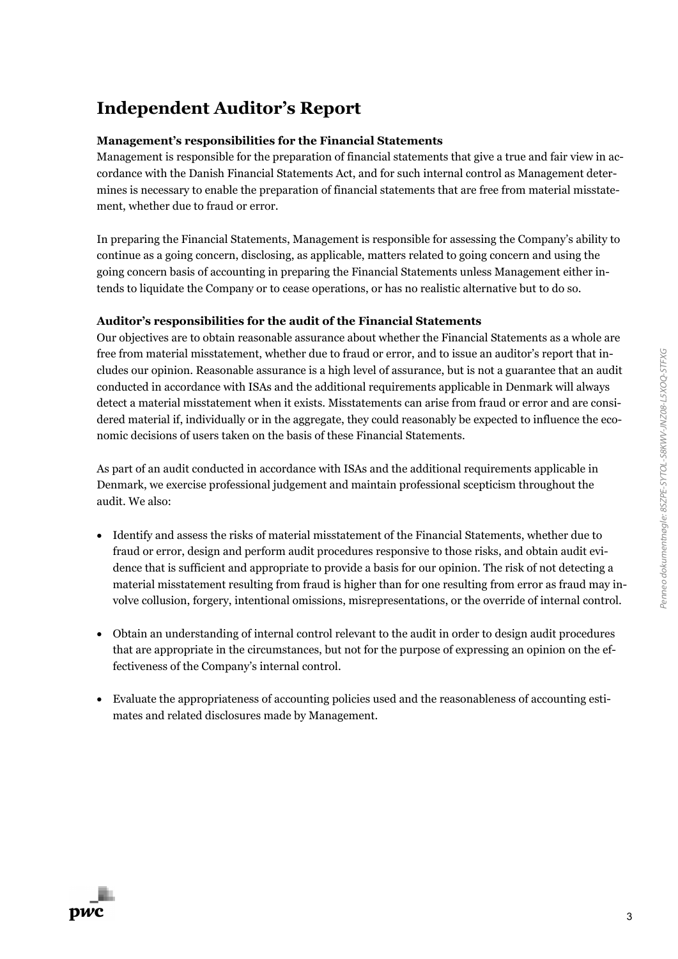# **Independent Auditor's Report**

#### **Management's responsibilities for the Financial Statements**

Management is responsible for the preparation of financial statements that give a true and fair view in accordance with the Danish Financial Statements Act, and for such internal control as Management determines is necessary to enable the preparation of financial statements that are free from material misstatement, whether due to fraud or error.

In preparing the Financial Statements, Management is responsible for assessing the Company's ability to continue as a going concern, disclosing, as applicable, matters related to going concern and using the going concern basis of accounting in preparing the Financial Statements unless Management either intends to liquidate the Company or to cease operations, or has no realistic alternative but to do so.

#### **Auditor's responsibilities for the audit of the Financial Statements**

Our objectives are to obtain reasonable assurance about whether the Financial Statements as a whole are free from material misstatement, whether due to fraud or error, and to issue an auditor's report that includes our opinion. Reasonable assurance is a high level of assurance, but is not a guarantee that an audit conducted in accordance with ISAs and the additional requirements applicable in Denmark will always detect a material misstatement when it exists. Misstatements can arise from fraud or error and are considered material if, individually or in the aggregate, they could reasonably be expected to influence the economic decisions of users taken on the basis of these Financial Statements.

As part of an audit conducted in accordance with ISAs and the additional requirements applicable in Denmark, we exercise professional judgement and maintain professional scepticism throughout the audit. We also:

- Identify and assess the risks of material misstatement of the Financial Statements, whether due to fraud or error, design and perform audit procedures responsive to those risks, and obtain audit evidence that is sufficient and appropriate to provide a basis for our opinion. The risk of not detecting a material misstatement resulting from fraud is higher than for one resulting from error as fraud may involve collusion, forgery, intentional omissions, misrepresentations, or the override of internal control.
- Obtain an understanding of internal control relevant to the audit in order to design audit procedures that are appropriate in the circumstances, but not for the purpose of expressing an opinion on the effectiveness of the Company's internal control.
- Evaluate the appropriateness of accounting policies used and the reasonableness of accounting estimates and related disclosures made by Management.

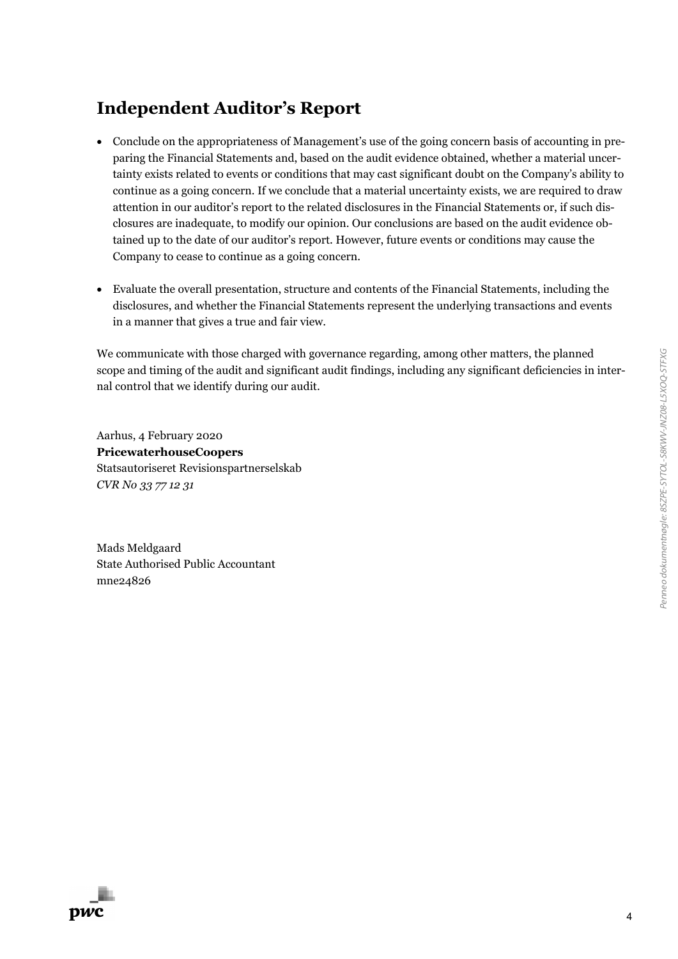# **Independent Auditor's Report**

- Conclude on the appropriateness of Management's use of the going concern basis of accounting in preparing the Financial Statements and, based on the audit evidence obtained, whether a material uncertainty exists related to events or conditions that may cast significant doubt on the Company's ability to continue as a going concern. If we conclude that a material uncertainty exists, we are required to draw attention in our auditor's report to the related disclosures in the Financial Statements or, if such disclosures are inadequate, to modify our opinion. Our conclusions are based on the audit evidence obtained up to the date of our auditor's report. However, future events or conditions may cause the Company to cease to continue as a going concern.
- Evaluate the overall presentation, structure and contents of the Financial Statements, including the disclosures, and whether the Financial Statements represent the underlying transactions and events in a manner that gives a true and fair view.

We communicate with those charged with governance regarding, among other matters, the planned scope and timing of the audit and significant audit findings, including any significant deficiencies in internal control that we identify during our audit.

Aarhus, 4 February 2020 **PricewaterhouseCoopers** Statsautoriseret Revisionspartnerselskab *CVR No 33 77 12 31*

Mads Meldgaard State Authorised Public Accountant mne24826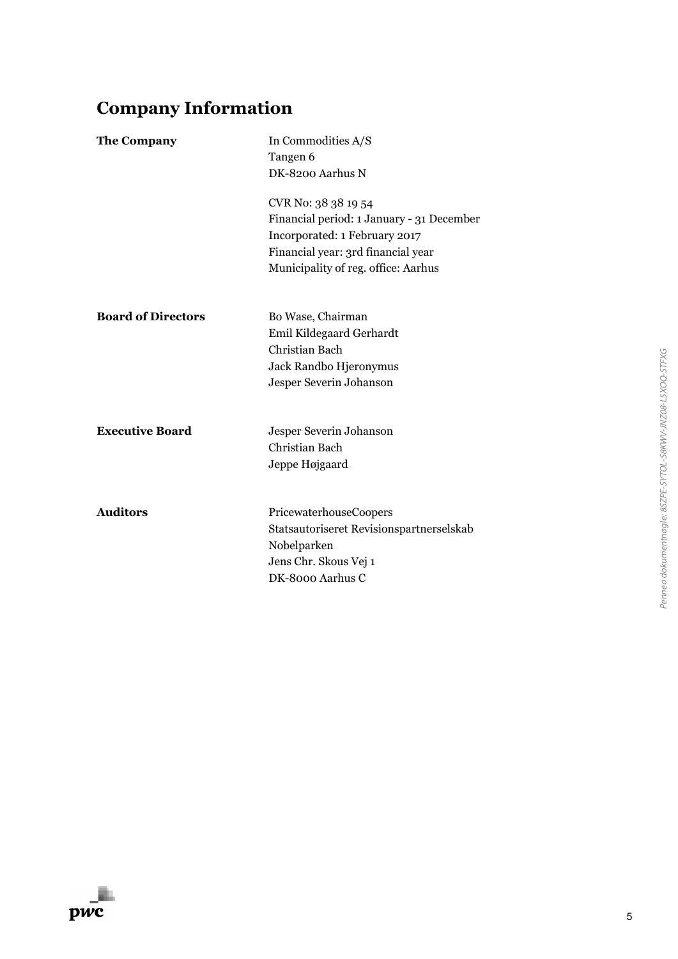# **Company Information**

| <b>The Company</b>        | In Commodities A/S<br>Tangen 6<br>DK-8200 Aarhus N                                                                                                                             |
|---------------------------|--------------------------------------------------------------------------------------------------------------------------------------------------------------------------------|
|                           | CVR No: 38 38 19 54<br>Financial period: 1 January - 31 December<br>Incorporated: 1 February 2017<br>Financial year: 3rd financial year<br>Municipality of reg. office: Aarhus |
| <b>Board of Directors</b> | Bo Wase, Chairman<br>Emil Kildegaard Gerhardt<br>Christian Bach<br>Jack Randbo Hjeronymus<br>Jesper Severin Johanson                                                           |
| <b>Executive Board</b>    | Jesper Severin Johanson<br>Christian Bach<br>Jeppe Højgaard                                                                                                                    |
| <b>Auditors</b>           | PricewaterhouseCoopers<br>Statsautoriseret Revisionspartnerselskab<br>Nobelparken<br>Jens Chr. Skous Vej 1<br>DK-8000 Aarhus C                                                 |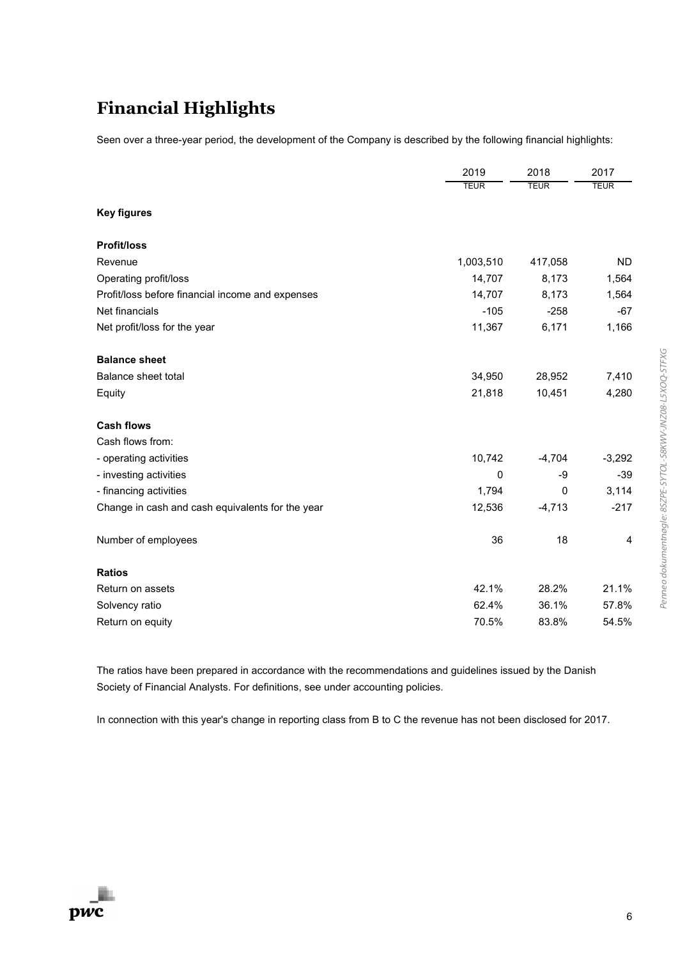# **Financial Highlights**

Seen over a three-year period, the development of the Company is described by the following financial highlights:

|                                                  | 2019        | 2018        | 2017        |
|--------------------------------------------------|-------------|-------------|-------------|
|                                                  | <b>TEUR</b> | <b>TEUR</b> | <b>TEUR</b> |
| <b>Key figures</b>                               |             |             |             |
| <b>Profit/loss</b>                               |             |             |             |
| Revenue                                          | 1,003,510   | 417,058     | <b>ND</b>   |
| Operating profit/loss                            | 14,707      | 8,173       | 1,564       |
| Profit/loss before financial income and expenses | 14,707      | 8,173       | 1,564       |
| Net financials                                   | $-105$      | $-258$      | $-67$       |
| Net profit/loss for the year                     | 11,367      | 6,171       | 1,166       |
| <b>Balance sheet</b>                             |             |             |             |
| Balance sheet total                              | 34,950      | 28,952      | 7,410       |
| Equity                                           | 21,818      | 10,451      | 4,280       |
| <b>Cash flows</b>                                |             |             |             |
| Cash flows from:                                 |             |             |             |
| - operating activities                           | 10,742      | $-4,704$    | $-3,292$    |
| - investing activities                           | 0           | -9          | $-39$       |
| - financing activities                           | 1,794       | $\Omega$    | 3,114       |
| Change in cash and cash equivalents for the year | 12,536      | $-4,713$    | $-217$      |
| Number of employees                              | 36          | 18          | 4           |
| <b>Ratios</b>                                    |             |             |             |
| Return on assets                                 | 42.1%       | 28.2%       | 21.1%       |
| Solvency ratio                                   | 62.4%       | 36.1%       | 57.8%       |
| Return on equity                                 | 70.5%       | 83.8%       | 54.5%       |

The ratios have been prepared in accordance with the recommendations and guidelines issued by the Danish Society of Financial Analysts. For definitions, see under accounting policies.

In connection with this year's change in reporting class from B to C the revenue has not been disclosed for 2017.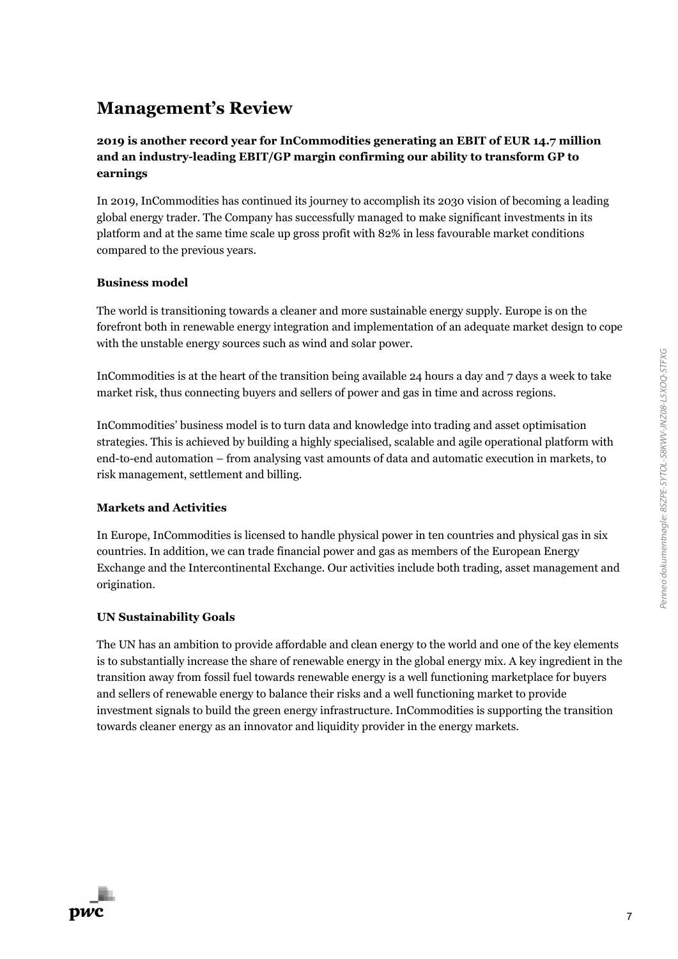**2019 is another record year for InCommodities generating an EBIT of EUR 14.7 million and an industry-leading EBIT/GP margin confirming our ability to transform GP to earnings**

In 2019, InCommodities has continued its journey to accomplish its 2030 vision of becoming a leading global energy trader. The Company has successfully managed to make significant investments in its platform and at the same time scale up gross profit with 82% in less favourable market conditions compared to the previous years.

#### **Business model**

The world is transitioning towards a cleaner and more sustainable energy supply. Europe is on the forefront both in renewable energy integration and implementation of an adequate market design to cope with the unstable energy sources such as wind and solar power.

InCommodities is at the heart of the transition being available 24 hours a day and 7 days a week to take market risk, thus connecting buyers and sellers of power and gas in time and across regions.

InCommodities' business model is to turn data and knowledge into trading and asset optimisation strategies. This is achieved by building a highly specialised, scalable and agile operational platform with end-to-end automation – from analysing vast amounts of data and automatic execution in markets, to risk management, settlement and billing.

#### **Markets and Activities**

In Europe, InCommodities is licensed to handle physical power in ten countries and physical gas in six countries. In addition, we can trade financial power and gas as members of the European Energy Exchange and the Intercontinental Exchange. Our activities include both trading, asset management and origination.

#### **UN Sustainability Goals**

The UN has an ambition to provide affordable and clean energy to the world and one of the key elements is to substantially increase the share of renewable energy in the global energy mix. A key ingredient in the transition away from fossil fuel towards renewable energy is a well functioning marketplace for buyers and sellers of renewable energy to balance their risks and a well functioning market to provide investment signals to build the green energy infrastructure. InCommodities is supporting the transition towards cleaner energy as an innovator and liquidity provider in the energy markets.

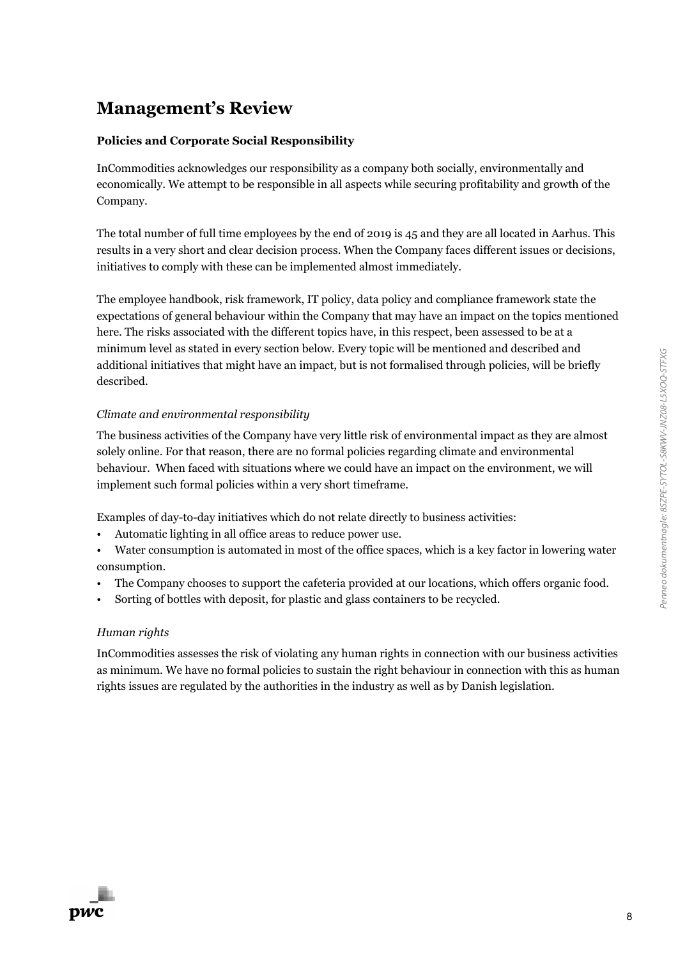### **Policies and Corporate Social Responsibility**

InCommodities acknowledges our responsibility as a company both socially, environmentally and economically. We attempt to be responsible in all aspects while securing profitability and growth of the Company.

The total number of full time employees by the end of 2019 is 45 and they are all located in Aarhus. This results in a very short and clear decision process. When the Company faces different issues or decisions, initiatives to comply with these can be implemented almost immediately.

The employee handbook, risk framework, IT policy, data policy and compliance framework state the expectations of general behaviour within the Company that may have an impact on the topics mentioned here. The risks associated with the different topics have, in this respect, been assessed to be at a minimum level as stated in every section below. Every topic will be mentioned and described and additional initiatives that might have an impact, but is not formalised through policies, will be briefly described.

### *Climate and environmental responsibility*

The business activities of the Company have very little risk of environmental impact as they are almost solely online. For that reason, there are no formal policies regarding climate and environmental behaviour. When faced with situations where we could have an impact on the environment, we will implement such formal policies within a very short timeframe.

Examples of day-to-day initiatives which do not relate directly to business activities:

• Automatic lighting in all office areas to reduce power use.

• Water consumption is automated in most of the office spaces, which is a key factor in lowering water consumption.

- The Company chooses to support the cafeteria provided at our locations, which offers organic food.
- Sorting of bottles with deposit, for plastic and glass containers to be recycled.

### *Human rights*

InCommodities assesses the risk of violating any human rights in connection with our business activities as minimum. We have no formal policies to sustain the right behaviour in connection with this as human rights issues are regulated by the authorities in the industry as well as by Danish legislation.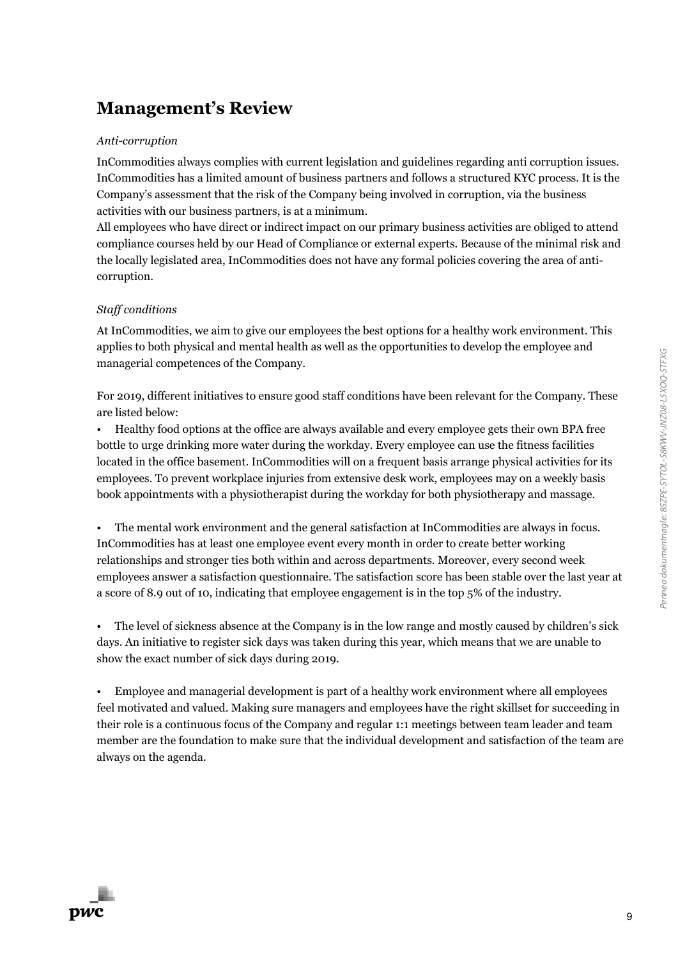#### *Anti-corruption*

InCommodities always complies with current legislation and guidelines regarding anti corruption issues. InCommodities has a limited amount of business partners and follows a structured KYC process. It is the Company's assessment that the risk of the Company being involved in corruption, via the business activities with our business partners, is at a minimum.

All employees who have direct or indirect impact on our primary business activities are obliged to attend compliance courses held by our Head of Compliance or external experts. Because of the minimal risk and the locally legislated area, InCommodities does not have any formal policies covering the area of anticorruption.

#### *Staff conditions*

At InCommodities, we aim to give our employees the best options for a healthy work environment. This applies to both physical and mental health as well as the opportunities to develop the employee and managerial competences of the Company.

For 2019, different initiatives to ensure good staff conditions have been relevant for the Company. These are listed below:

• Healthy food options at the office are always available and every employee gets their own BPA free bottle to urge drinking more water during the workday. Every employee can use the fitness facilities located in the office basement. InCommodities will on a frequent basis arrange physical activities for its employees. To prevent workplace injuries from extensive desk work, employees may on a weekly basis book appointments with a physiotherapist during the workday for both physiotherapy and massage.

• The mental work environment and the general satisfaction at InCommodities are always in focus. InCommodities has at least one employee event every month in order to create better working relationships and stronger ties both within and across departments. Moreover, every second week employees answer a satisfaction questionnaire. The satisfaction score has been stable over the last year at a score of 8.9 out of 10, indicating that employee engagement is in the top 5% of the industry.

• The level of sickness absence at the Company is in the low range and mostly caused by children's sick days. An initiative to register sick days was taken during this year, which means that we are unable to show the exact number of sick days during 2019.

• Employee and managerial development is part of a healthy work environment where all employees feel motivated and valued. Making sure managers and employees have the right skillset for succeeding in their role is a continuous focus of the Company and regular 1:1 meetings between team leader and team member are the foundation to make sure that the individual development and satisfaction of the team are always on the agenda.

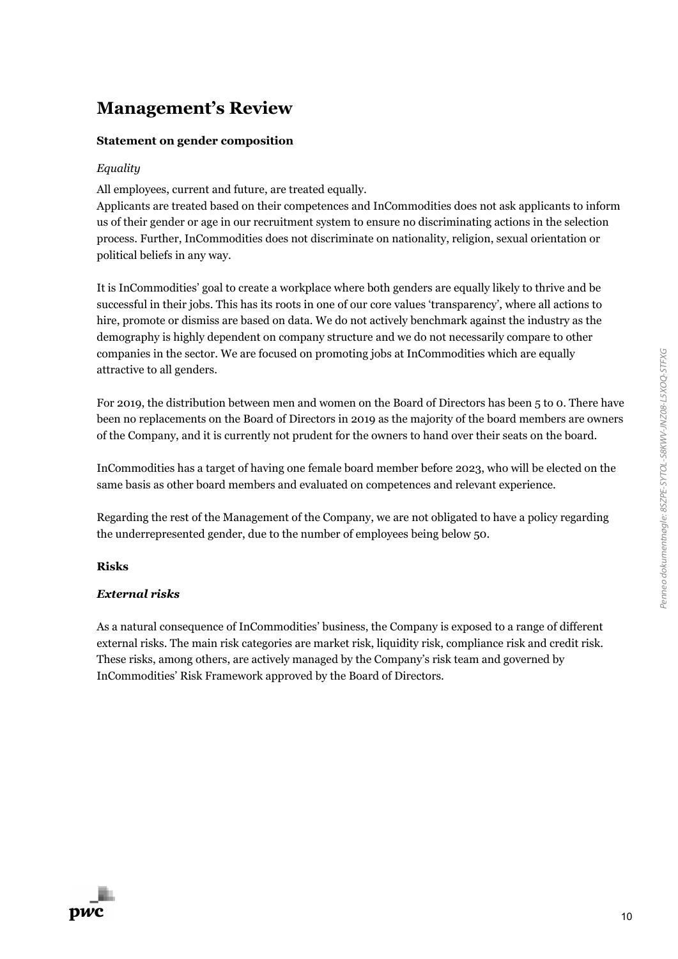#### **Statement on gender composition**

#### *Equality*

All employees, current and future, are treated equally.

Applicants are treated based on their competences and InCommodities does not ask applicants to inform us of their gender or age in our recruitment system to ensure no discriminating actions in the selection process. Further, InCommodities does not discriminate on nationality, religion, sexual orientation or political beliefs in any way.

It is InCommodities' goal to create a workplace where both genders are equally likely to thrive and be successful in their jobs. This has its roots in one of our core values 'transparency', where all actions to hire, promote or dismiss are based on data. We do not actively benchmark against the industry as the demography is highly dependent on company structure and we do not necessarily compare to other companies in the sector. We are focused on promoting jobs at InCommodities which are equally attractive to all genders.

For 2019, the distribution between men and women on the Board of Directors has been 5 to 0. There have been no replacements on the Board of Directors in 2019 as the majority of the board members are owners of the Company, and it is currently not prudent for the owners to hand over their seats on the board.

InCommodities has a target of having one female board member before 2023, who will be elected on the same basis as other board members and evaluated on competences and relevant experience.

Regarding the rest of the Management of the Company, we are not obligated to have a policy regarding the underrepresented gender, due to the number of employees being below 50.

#### **Risks**

#### *External risks*

As a natural consequence of InCommodities' business, the Company is exposed to a range of different external risks. The main risk categories are market risk, liquidity risk, compliance risk and credit risk. These risks, among others, are actively managed by the Company's risk team and governed by InCommodities' Risk Framework approved by the Board of Directors.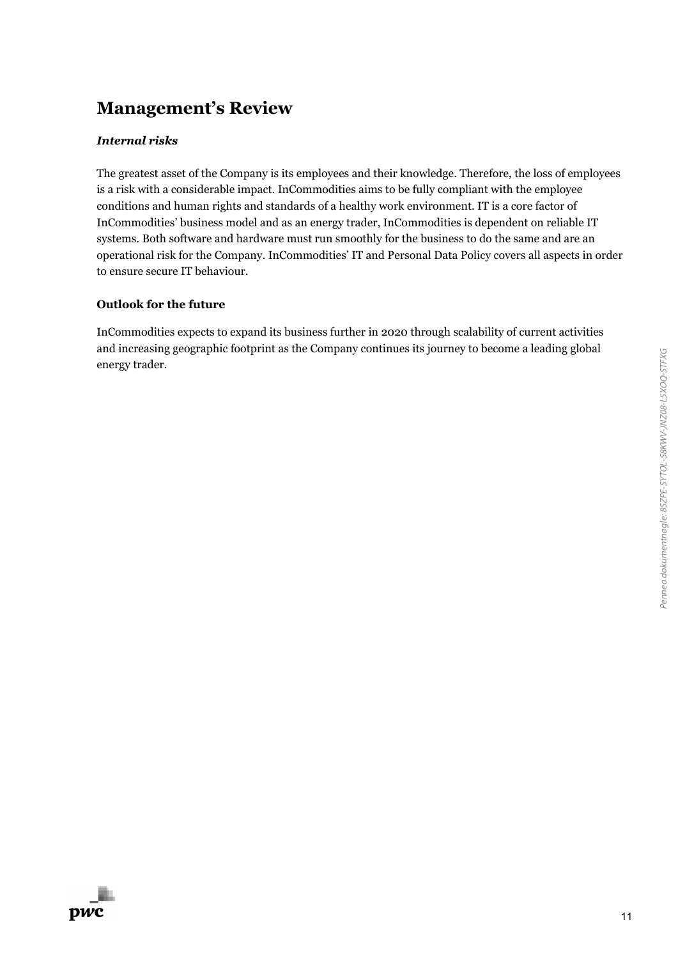#### *Internal risks*

The greatest asset of the Company is its employees and their knowledge. Therefore, the loss of employees is a risk with a considerable impact. InCommodities aims to be fully compliant with the employee conditions and human rights and standards of a healthy work environment. IT is a core factor of InCommodities' business model and as an energy trader, InCommodities is dependent on reliable IT systems. Both software and hardware must run smoothly for the business to do the same and are an operational risk for the Company. InCommodities' IT and Personal Data Policy covers all aspects in order to ensure secure IT behaviour.

#### **Outlook for the future**

InCommodities expects to expand its business further in 2020 through scalability of current activities and increasing geographic footprint as the Company continues its journey to become a leading global energy trader.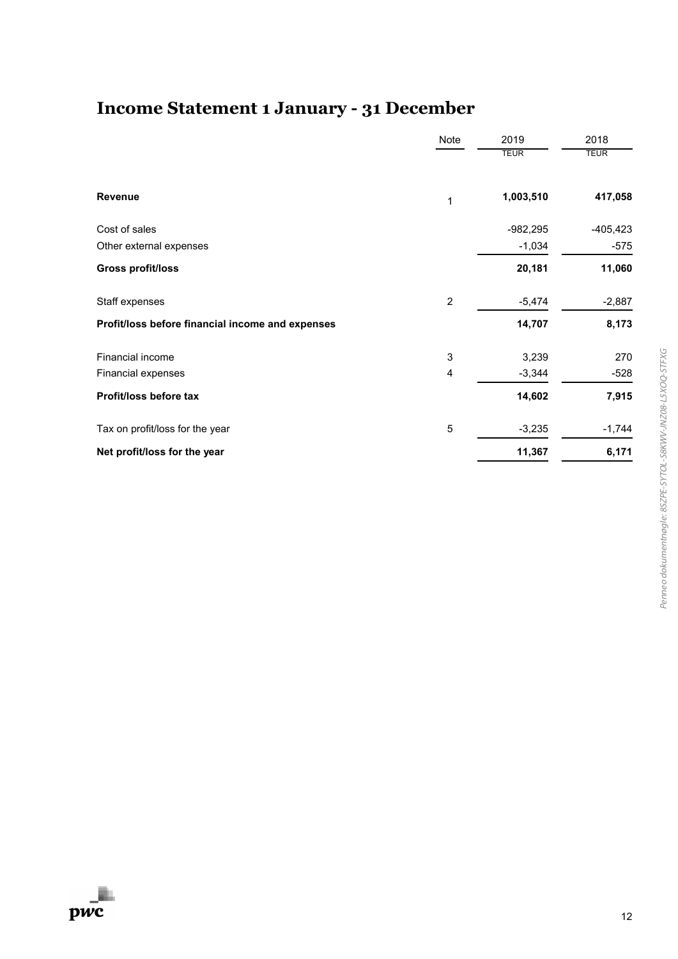# **Income Statement 1 January - 31 December**

|                                                  | Note           | 2019<br><b>TEUR</b> | 2018<br><b>TEUR</b> |
|--------------------------------------------------|----------------|---------------------|---------------------|
| <b>Revenue</b>                                   | 1              | 1,003,510           | 417,058             |
| Cost of sales                                    |                | $-982,295$          | $-405, 423$         |
| Other external expenses                          |                | $-1,034$            | $-575$              |
| <b>Gross profit/loss</b>                         |                | 20,181              | 11,060              |
| Staff expenses                                   | $\overline{2}$ | $-5,474$            | $-2,887$            |
| Profit/loss before financial income and expenses |                | 14,707              | 8,173               |
| Financial income                                 | 3              | 3,239               | 270                 |
| Financial expenses                               | 4              | $-3,344$            | -528                |
| Profit/loss before tax                           |                | 14,602              | 7,915               |
| Tax on profit/loss for the year                  | 5              | $-3,235$            | $-1,744$            |
| Net profit/loss for the year                     |                | 11,367              | 6,171               |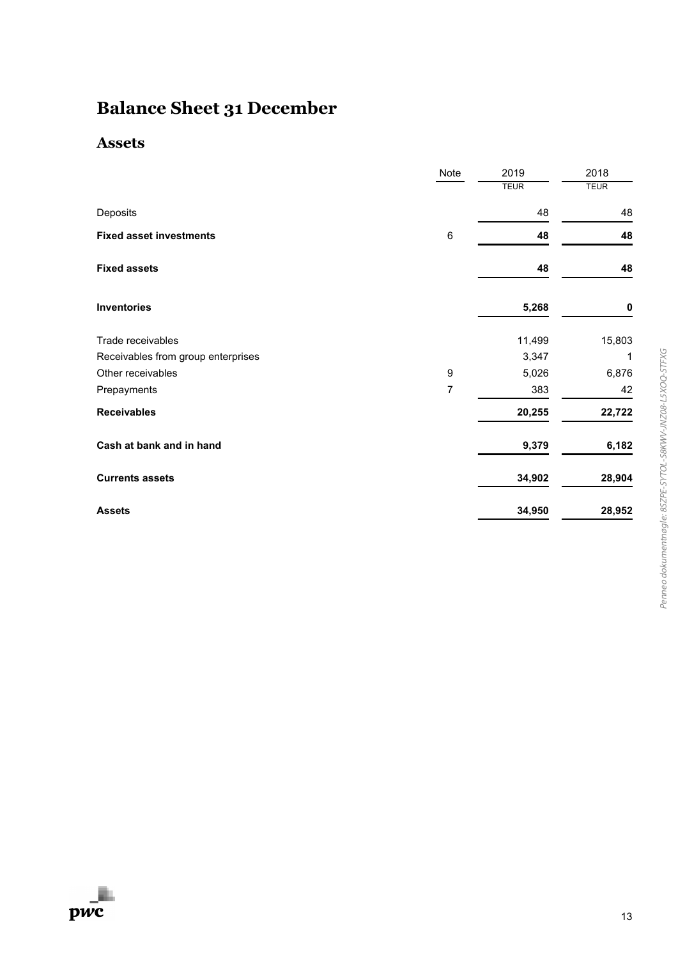# **Balance Sheet 31 December**

### **Assets**

|                                    | Note             | 2019        | 2018        |
|------------------------------------|------------------|-------------|-------------|
|                                    |                  | <b>TEUR</b> | <b>TEUR</b> |
| Deposits                           |                  | 48          | 48          |
| <b>Fixed asset investments</b>     | 6                | 48          | 48          |
| <b>Fixed assets</b>                |                  | 48          | 48          |
| <b>Inventories</b>                 |                  | 5,268       | 0           |
| Trade receivables                  |                  | 11,499      | 15,803      |
| Receivables from group enterprises |                  | 3,347       | 1           |
| Other receivables                  | $\boldsymbol{9}$ | 5,026       | 6,876       |
| Prepayments                        | 7                | 383         | 42          |
| <b>Receivables</b>                 |                  | 20,255      | 22,722      |
| Cash at bank and in hand           |                  | 9,379       | 6,182       |
| <b>Currents assets</b>             |                  | 34,902      | 28,904      |
| <b>Assets</b>                      |                  | 34,950      | 28,952      |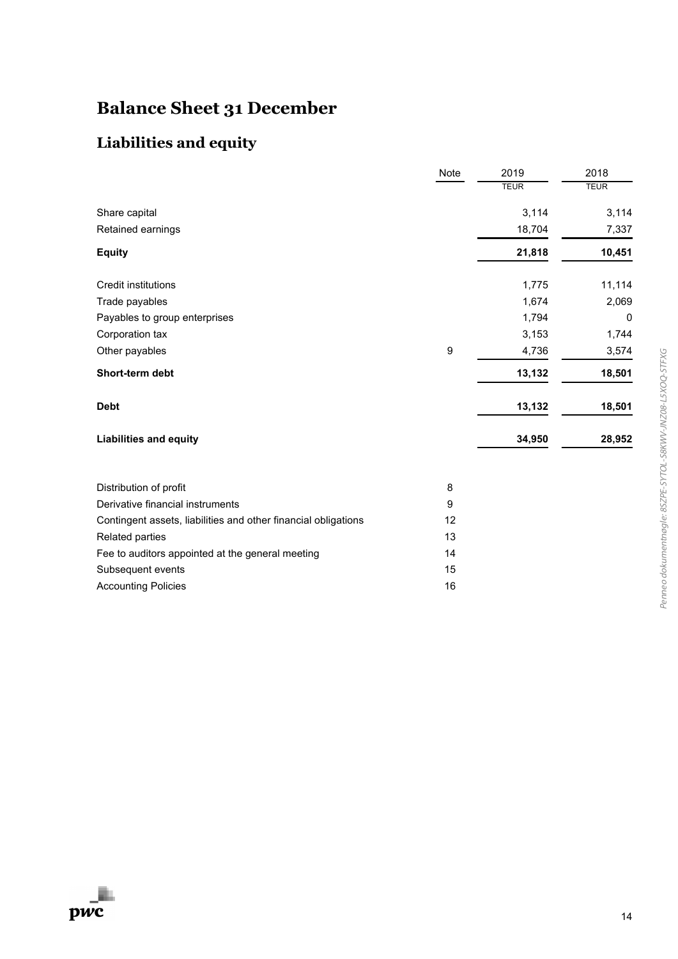# **Balance Sheet 31 December**

### **Liabilities and equity**

|                                                                | Note             | 2019        | 2018        |
|----------------------------------------------------------------|------------------|-------------|-------------|
|                                                                |                  | <b>TEUR</b> | <b>TEUR</b> |
| Share capital                                                  |                  | 3,114       | 3,114       |
| Retained earnings                                              |                  | 18,704      | 7,337       |
| <b>Equity</b>                                                  |                  | 21,818      | 10,451      |
| <b>Credit institutions</b>                                     |                  | 1,775       | 11,114      |
| Trade payables                                                 |                  | 1,674       | 2,069       |
| Payables to group enterprises                                  |                  | 1,794       | 0           |
| Corporation tax                                                |                  | 3,153       | 1,744       |
| Other payables                                                 | $\boldsymbol{9}$ | 4,736       | 3,574       |
| Short-term debt                                                |                  | 13,132      | 18,501      |
| <b>Debt</b>                                                    |                  | 13,132      | 18,501      |
| <b>Liabilities and equity</b>                                  |                  | 34,950      | 28,952      |
| Distribution of profit                                         | 8                |             |             |
| Derivative financial instruments                               | 9                |             |             |
| Contingent assets, liabilities and other financial obligations | 12               |             |             |
| Related parties                                                | 13               |             |             |
| Fee to auditors appointed at the general meeting               | 14               |             |             |
| Subsequent events                                              | 15               |             |             |
| <b>Accounting Policies</b>                                     | 16               |             |             |

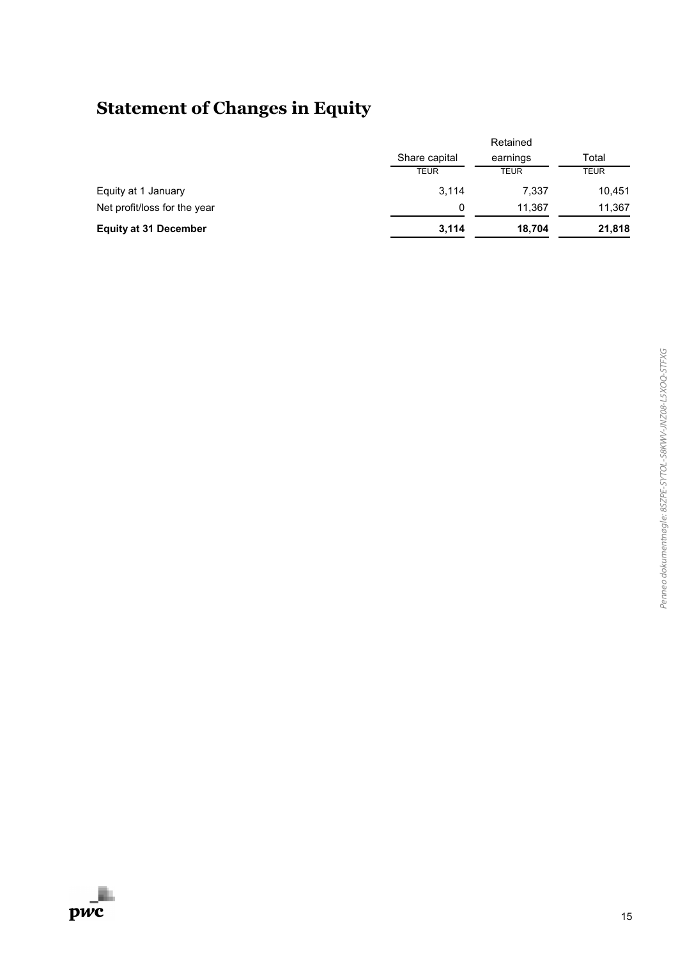# **Statement of Changes in Equity**

|                              |               | Retained    |             |
|------------------------------|---------------|-------------|-------------|
|                              | Share capital | earnings    | Total       |
|                              | <b>TEUR</b>   | <b>TEUR</b> | <b>TEUR</b> |
| Equity at 1 January          | 3,114         | 7,337       | 10,451      |
| Net profit/loss for the year | 0             | 11.367      | 11,367      |
| <b>Equity at 31 December</b> | 3,114         | 18,704      | 21,818      |

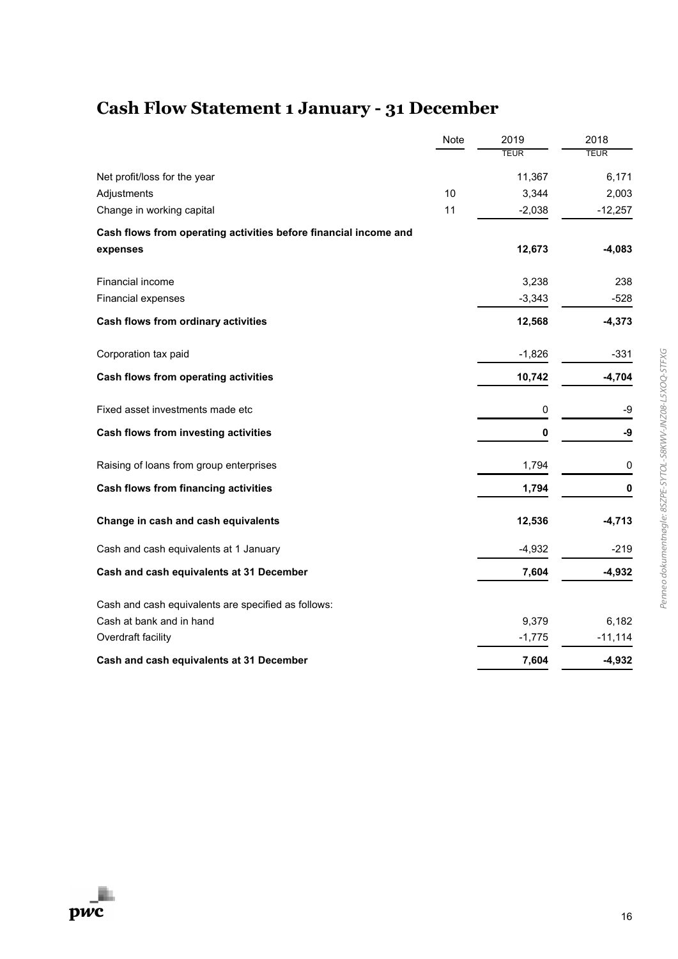# **Cash Flow Statement 1 January - 31 December**

|                                                                  | Note | 2019        | 2018        |
|------------------------------------------------------------------|------|-------------|-------------|
|                                                                  |      | <b>TEUR</b> | <b>TEUR</b> |
| Net profit/loss for the year                                     |      | 11,367      | 6,171       |
| Adjustments                                                      | 10   | 3,344       | 2,003       |
| Change in working capital                                        | 11   | $-2,038$    | $-12,257$   |
| Cash flows from operating activities before financial income and |      |             |             |
| expenses                                                         |      | 12,673      | $-4,083$    |
| Financial income                                                 |      | 3,238       | 238         |
| Financial expenses                                               |      | $-3,343$    | $-528$      |
| Cash flows from ordinary activities                              |      | 12,568      | $-4,373$    |
| Corporation tax paid                                             |      | $-1,826$    | $-331$      |
| Cash flows from operating activities                             |      | 10,742      | $-4,704$    |
| Fixed asset investments made etc                                 |      | 0           | -9          |
| Cash flows from investing activities                             |      | 0           | -9          |
| Raising of loans from group enterprises                          |      | 1,794       | 0           |
| <b>Cash flows from financing activities</b>                      |      | 1,794       | 0           |
| Change in cash and cash equivalents                              |      | 12,536      | $-4,713$    |
| Cash and cash equivalents at 1 January                           |      | $-4,932$    | $-219$      |
| Cash and cash equivalents at 31 December                         |      | 7,604       | $-4,932$    |
| Cash and cash equivalents are specified as follows:              |      |             |             |
| Cash at bank and in hand                                         |      | 9,379       | 6,182       |
| Overdraft facility                                               |      | $-1,775$    | $-11,114$   |
| Cash and cash equivalents at 31 December                         |      | 7,604       | $-4,932$    |

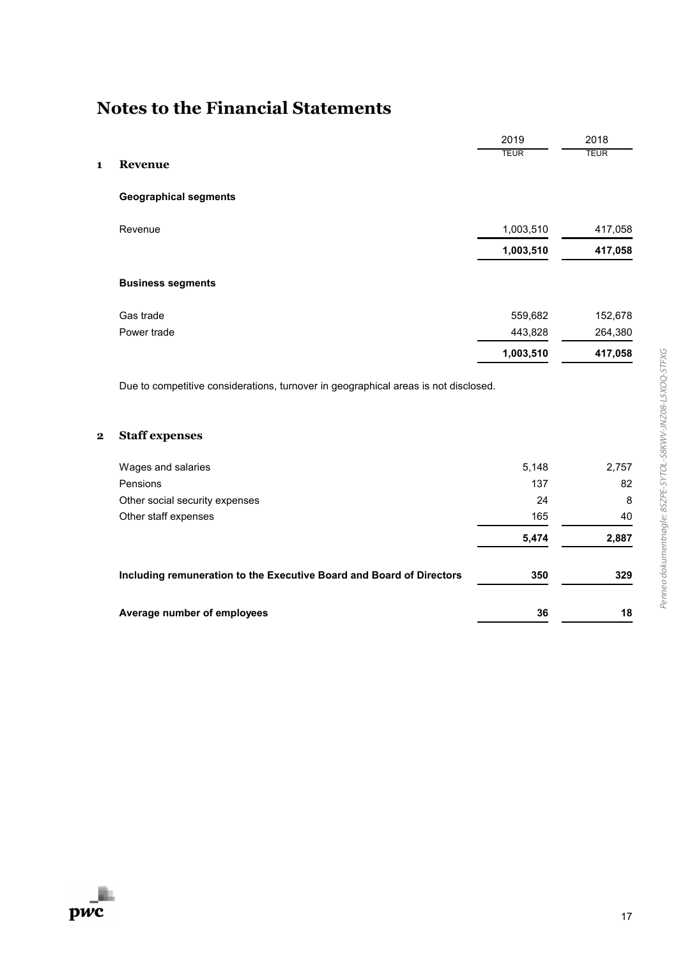|                         |                                                                                     | 2019        | 2018        |
|-------------------------|-------------------------------------------------------------------------------------|-------------|-------------|
| 1                       | Revenue                                                                             | <b>TEUR</b> | <b>TEUR</b> |
|                         |                                                                                     |             |             |
|                         | <b>Geographical segments</b>                                                        |             |             |
|                         | Revenue                                                                             | 1,003,510   | 417,058     |
|                         |                                                                                     | 1,003,510   | 417,058     |
|                         | <b>Business segments</b>                                                            |             |             |
|                         | Gas trade                                                                           | 559,682     | 152,678     |
|                         | Power trade                                                                         | 443,828     | 264,380     |
|                         |                                                                                     | 1,003,510   | 417,058     |
|                         | Due to competitive considerations, turnover in geographical areas is not disclosed. |             |             |
| $\overline{\mathbf{2}}$ | <b>Staff expenses</b>                                                               |             |             |
|                         | Wages and salaries                                                                  | 5,148       | 2,757       |
|                         | Pensions                                                                            | 137         | 82          |
|                         | Other social security expenses                                                      | 24          | 8           |
|                         | Other staff expenses                                                                | 165         | 40          |
|                         |                                                                                     | 5,474       | 2,887       |
|                         | Including remuneration to the Executive Board and Board of Directors                | 350         | 329         |
|                         | Average number of employees                                                         | 36          | 18          |

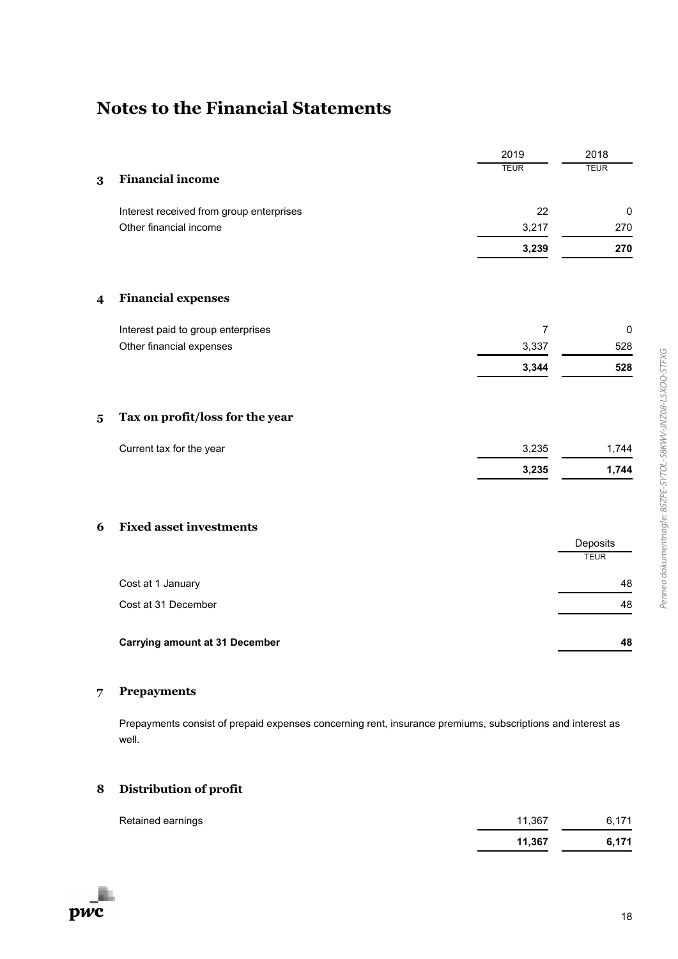|                         |                                          | 2019           | 2018                    |
|-------------------------|------------------------------------------|----------------|-------------------------|
|                         |                                          | <b>TEUR</b>    | <b>TEUR</b>             |
| $\bf{3}$                | <b>Financial income</b>                  |                |                         |
|                         | Interest received from group enterprises | 22             | $\pmb{0}$               |
|                         | Other financial income                   | 3,217          | 270                     |
|                         |                                          | 3,239          | 270                     |
| $\overline{\mathbf{4}}$ | <b>Financial expenses</b>                |                |                         |
|                         | Interest paid to group enterprises       | $\overline{7}$ | $\pmb{0}$               |
|                         | Other financial expenses                 | 3,337          | 528                     |
|                         |                                          | 3,344          | 528                     |
| $\overline{\mathbf{5}}$ | Tax on profit/loss for the year          |                |                         |
|                         | Current tax for the year                 | 3,235          | 1,744                   |
|                         |                                          | 3,235          | 1,744                   |
|                         |                                          |                |                         |
| 6                       | <b>Fixed asset investments</b>           |                |                         |
|                         |                                          |                | Deposits<br><b>TEUR</b> |
|                         | Cost at 1 January                        |                | 48                      |
|                         | Cost at 31 December                      |                | 48                      |
|                         |                                          |                |                         |
|                         | <b>Carrying amount at 31 December</b>    |                | 48                      |

#### **7 Prepayments**

Prepayments consist of prepaid expenses concerning rent, insurance premiums, subscriptions and interest as well.

### **8 Distribution of profit**

| Retained earnings | 11.367 | 6.171 |
|-------------------|--------|-------|
|                   | 11.367 | 6,171 |

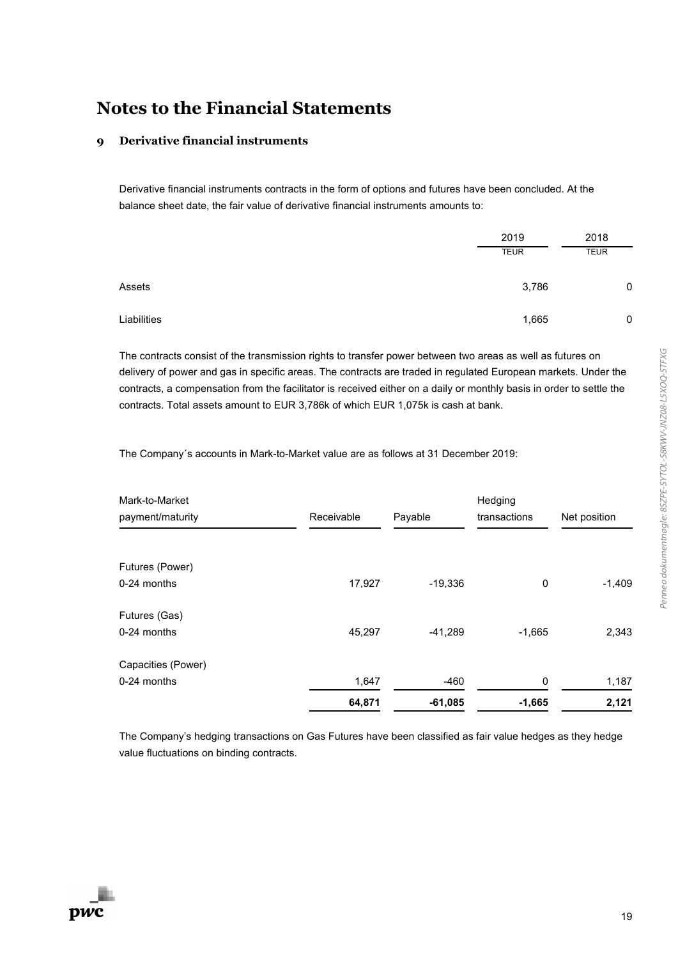#### **9 Derivative financial instruments**

Derivative financial instruments contracts in the form of options and futures have been concluded. At the balance sheet date, the fair value of derivative financial instruments amounts to:

|             | 2019        | 2018        |
|-------------|-------------|-------------|
|             | <b>TEUR</b> | <b>TEUR</b> |
| Assets      | 3,786       | C           |
| Liabilities | 1,665       | C           |

The contracts consist of the transmission rights to transfer power between two areas as well as futures on delivery of power and gas in specific areas. The contracts are traded in regulated European markets. Under the contracts, a compensation from the facilitator is received either on a daily or monthly basis in order to settle the contracts. Total assets amount to EUR 3,786k of which EUR 1,075k is cash at bank.

The Company´s accounts in Mark-to-Market value are as follows at 31 December 2019:

| Mark-to-Market     |            |           | Hedging      |              |
|--------------------|------------|-----------|--------------|--------------|
| payment/maturity   | Receivable | Payable   | transactions | Net position |
|                    |            |           |              |              |
| Futures (Power)    |            |           |              |              |
| 0-24 months        | 17,927     | $-19,336$ | 0            | $-1,409$     |
| Futures (Gas)      |            |           |              |              |
| 0-24 months        | 45,297     | $-41,289$ | $-1,665$     | 2,343        |
| Capacities (Power) |            |           |              |              |
| 0-24 months        | 1,647      | $-460$    | 0            | 1,187        |
|                    | 64,871     | $-61,085$ | $-1,665$     | 2,121        |

The Company's hedging transactions on Gas Futures have been classified as fair value hedges as they hedge value fluctuations on binding contracts.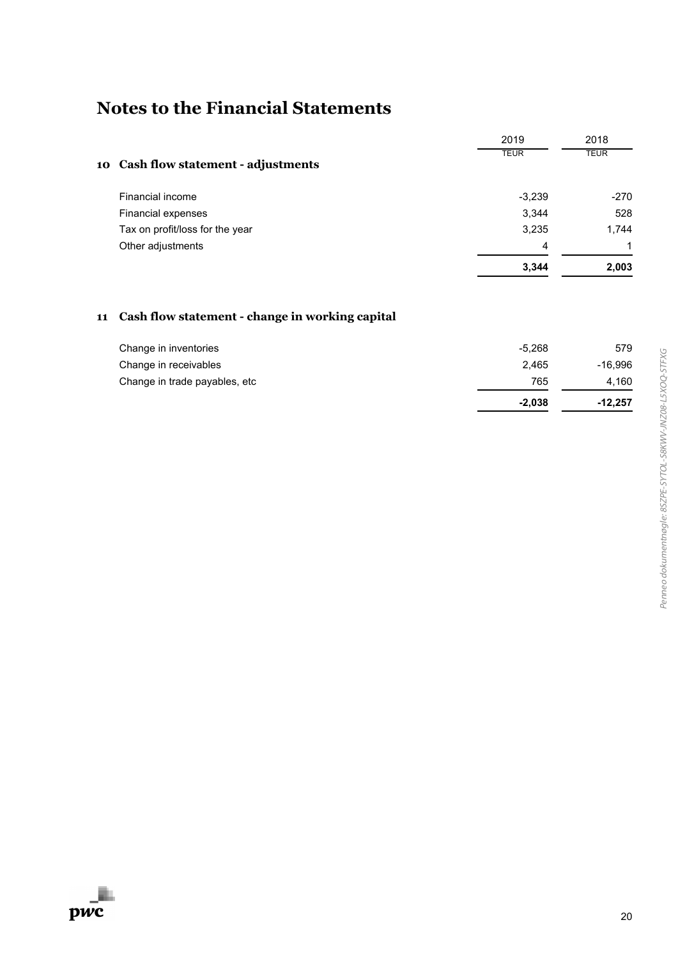|                                      | 2019        | 2018        |
|--------------------------------------|-------------|-------------|
| 10 Cash flow statement - adjustments | <b>TEUR</b> | <b>TEUR</b> |
| Financial income                     | $-3,239$    | $-270$      |
| Financial expenses                   | 3,344       | 528         |
| Tax on profit/loss for the year      | 3,235       | 1,744       |
| Other adjustments                    | 4           |             |
|                                      | 3,344       | 2,003       |

### **11 Cash flow statement - change in working capital**

| Change in inventories         | $-5.268$ | 579       |
|-------------------------------|----------|-----------|
| Change in receivables         | 2.465    | -16,996   |
| Change in trade payables, etc | 765      | 4.160     |
|                               | $-2.038$ | $-12,257$ |

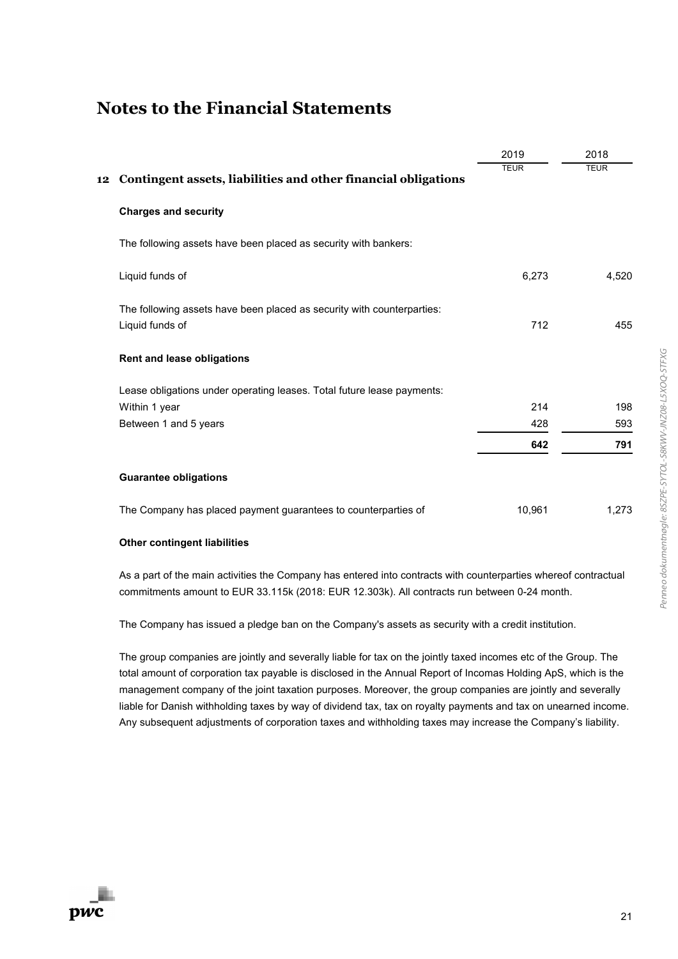|                                                                                           | 2019        | 2018        |
|-------------------------------------------------------------------------------------------|-------------|-------------|
| Contingent assets, liabilities and other financial obligations<br>12                      | <b>TEUR</b> | <b>TEUR</b> |
| <b>Charges and security</b>                                                               |             |             |
| The following assets have been placed as security with bankers:                           |             |             |
| Liquid funds of                                                                           | 6,273       | 4,520       |
| The following assets have been placed as security with counterparties:<br>Liquid funds of | 712         | 455         |
| Rent and lease obligations                                                                |             |             |
| Lease obligations under operating leases. Total future lease payments:                    |             |             |
| Within 1 year                                                                             | 214         | 198         |
| Between 1 and 5 years                                                                     | 428         | 593         |
|                                                                                           | 642         | 791         |
| <b>Guarantee obligations</b>                                                              |             |             |
| The Company has placed payment guarantees to counterparties of                            | 10,961      | 1,273       |

#### **Other contingent liabilities**

As a part of the main activities the Company has entered into contracts with counterparties whereof contractual commitments amount to EUR 33.115k (2018: EUR 12.303k). All contracts run between 0-24 month.

The Company has issued a pledge ban on the Company's assets as security with a credit institution.

The group companies are jointly and severally liable for tax on the jointly taxed incomes etc of the Group. The total amount of corporation tax payable is disclosed in the Annual Report of Incomas Holding ApS, which is the management company of the joint taxation purposes. Moreover, the group companies are jointly and severally liable for Danish withholding taxes by way of dividend tax, tax on royalty payments and tax on unearned income. Any subsequent adjustments of corporation taxes and withholding taxes may increase the Company's liability.

Penneo dokumentnøgle: 8SZPE-SYTOL-S8KWV-JNZ08-L5XOQ-STFXG Penneo dokumentnøgle: 8SZPE-SYTOL-S8KWV-JNZ08-L5XOQ-STFXG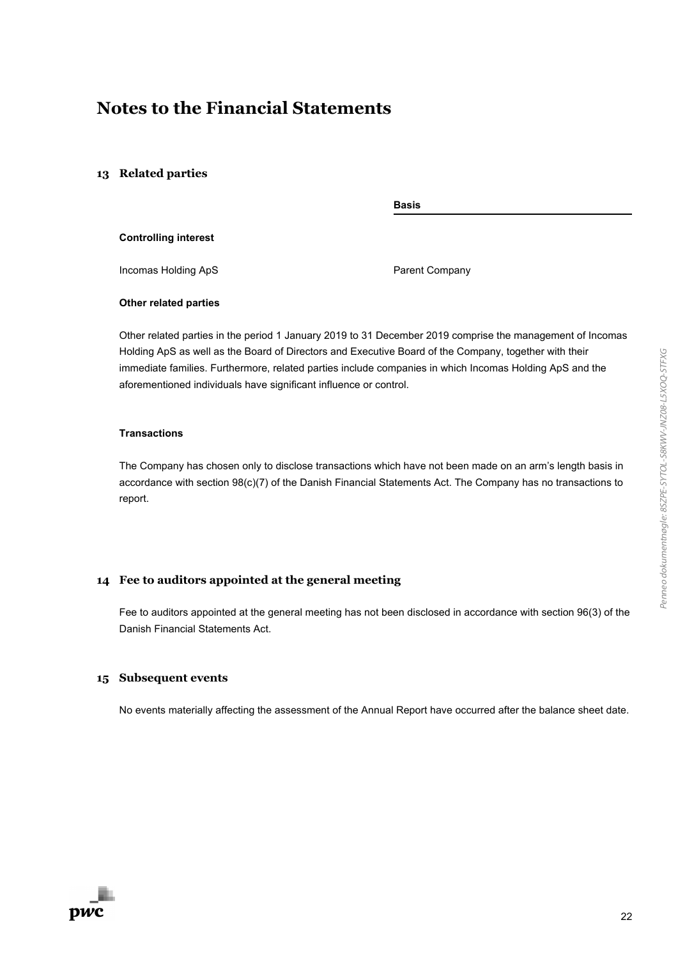#### **13 Related parties**

**Basis**

#### **Controlling interest**

Incomas Holding ApS **Parent Company** 

#### **Other related parties**

Other related parties in the period 1 January 2019 to 31 December 2019 comprise the management of Incomas Holding ApS as well as the Board of Directors and Executive Board of the Company, together with their immediate families. Furthermore, related parties include companies in which Incomas Holding ApS and the aforementioned individuals have significant influence or control.

#### **Transactions**

The Company has chosen only to disclose transactions which have not been made on an arm's length basis in accordance with section 98(c)(7) of the Danish Financial Statements Act. The Company has no transactions to report.

#### **14 Fee to auditors appointed at the general meeting**

Fee to auditors appointed at the general meeting has not been disclosed in accordance with section 96(3) of the Danish Financial Statements Act.

#### **15 Subsequent events**

No events materially affecting the assessment of the Annual Report have occurred after the balance sheet date.

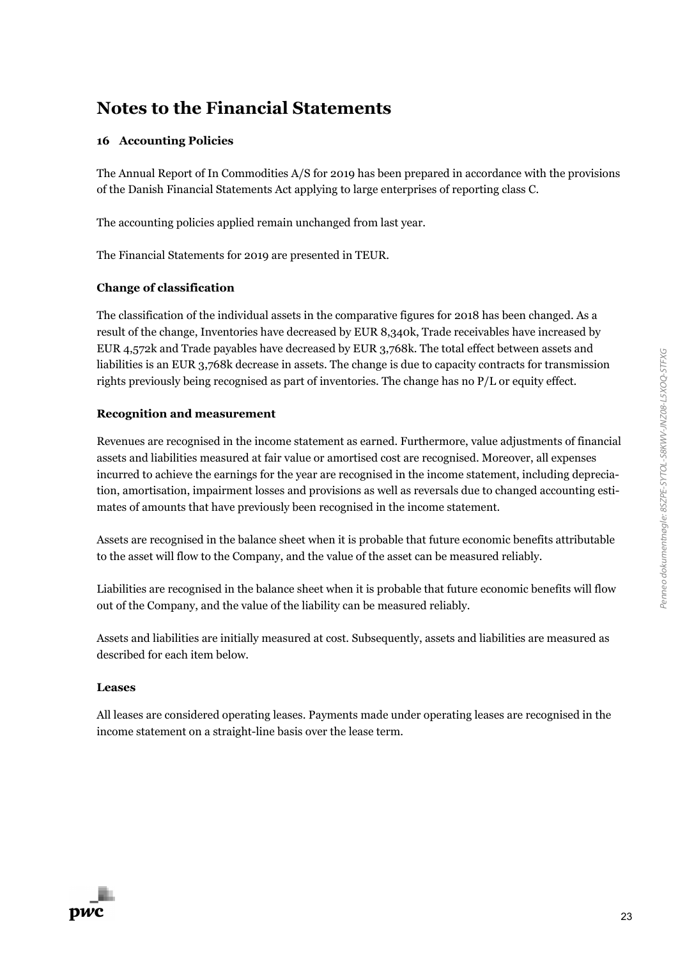#### **16 Accounting Policies**

The Annual Report of In Commodities A/S for 2019 has been prepared in accordance with the provisions of the Danish Financial Statements Act applying to large enterprises of reporting class C.

The accounting policies applied remain unchanged from last year.

The Financial Statements for 2019 are presented in TEUR.

#### **Change of classification**

The classification of the individual assets in the comparative figures for 2018 has been changed. As a result of the change, Inventories have decreased by EUR 8,340k, Trade receivables have increased by EUR 4,572k and Trade payables have decreased by EUR 3,768k. The total effect between assets and liabilities is an EUR 3,768k decrease in assets. The change is due to capacity contracts for transmission rights previously being recognised as part of inventories. The change has no P/L or equity effect.

#### **Recognition and measurement**

Revenues are recognised in the income statement as earned. Furthermore, value adjustments of financial assets and liabilities measured at fair value or amortised cost are recognised. Moreover, all expenses incurred to achieve the earnings for the year are recognised in the income statement, including depreciation, amortisation, impairment losses and provisions as well as reversals due to changed accounting estimates of amounts that have previously been recognised in the income statement.

Assets are recognised in the balance sheet when it is probable that future economic benefits attributable to the asset will flow to the Company, and the value of the asset can be measured reliably.

Liabilities are recognised in the balance sheet when it is probable that future economic benefits will flow out of the Company, and the value of the liability can be measured reliably.

Assets and liabilities are initially measured at cost. Subsequently, assets and liabilities are measured as described for each item below.

#### **Leases**

All leases are considered operating leases. Payments made under operating leases are recognised in the income statement on a straight-line basis over the lease term.

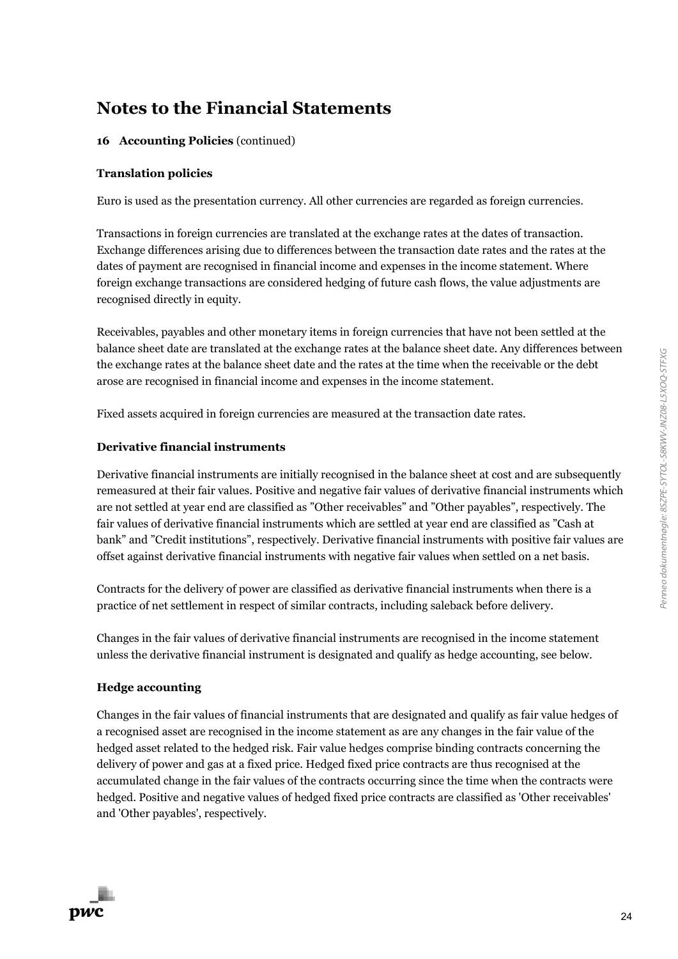#### **16 Accounting Policies** (continued)

#### **Translation policies**

Euro is used as the presentation currency. All other currencies are regarded as foreign currencies.

Transactions in foreign currencies are translated at the exchange rates at the dates of transaction. Exchange differences arising due to differences between the transaction date rates and the rates at the dates of payment are recognised in financial income and expenses in the income statement. Where foreign exchange transactions are considered hedging of future cash flows, the value adjustments are recognised directly in equity.

Receivables, payables and other monetary items in foreign currencies that have not been settled at the balance sheet date are translated at the exchange rates at the balance sheet date. Any differences between the exchange rates at the balance sheet date and the rates at the time when the receivable or the debt arose are recognised in financial income and expenses in the income statement.

Fixed assets acquired in foreign currencies are measured at the transaction date rates.

#### **Derivative financial instruments**

Derivative financial instruments are initially recognised in the balance sheet at cost and are subsequently remeasured at their fair values. Positive and negative fair values of derivative financial instruments which are not settled at year end are classified as "Other receivables" and "Other payables", respectively. The fair values of derivative financial instruments which are settled at year end are classified as "Cash at bank" and "Credit institutions", respectively. Derivative financial instruments with positive fair values are offset against derivative financial instruments with negative fair values when settled on a net basis.

Contracts for the delivery of power are classified as derivative financial instruments when there is a practice of net settlement in respect of similar contracts, including saleback before delivery.

Changes in the fair values of derivative financial instruments are recognised in the income statement unless the derivative financial instrument is designated and qualify as hedge accounting, see below.

#### **Hedge accounting**

Changes in the fair values of financial instruments that are designated and qualify as fair value hedges of a recognised asset are recognised in the income statement as are any changes in the fair value of the hedged asset related to the hedged risk. Fair value hedges comprise binding contracts concerning the delivery of power and gas at a fixed price. Hedged fixed price contracts are thus recognised at the accumulated change in the fair values of the contracts occurring since the time when the contracts were hedged. Positive and negative values of hedged fixed price contracts are classified as 'Other receivables' and 'Other payables', respectively.

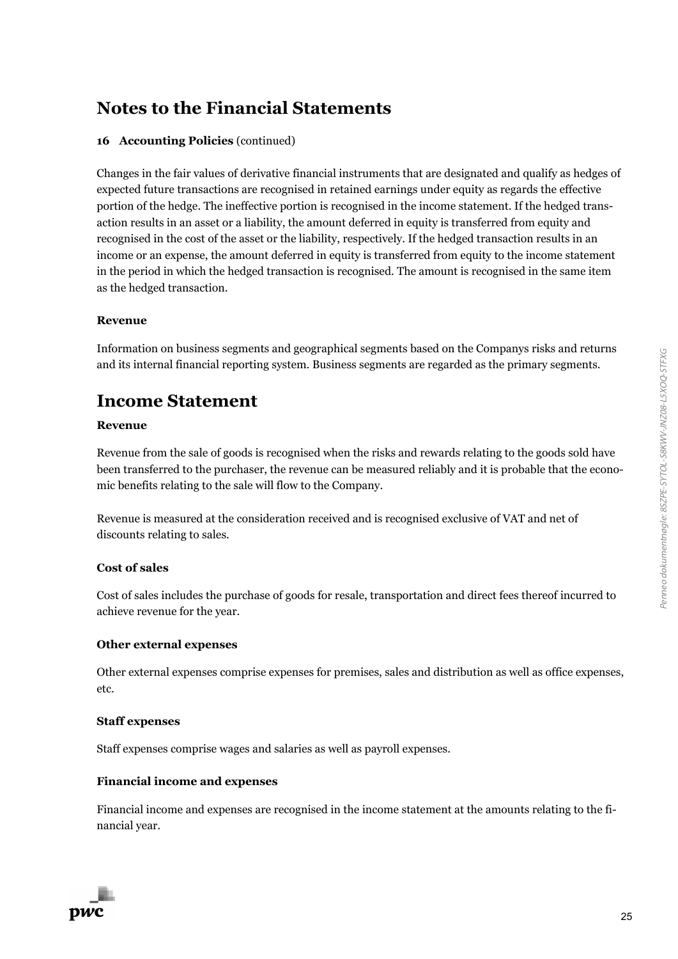#### **16 Accounting Policies** (continued)

Changes in the fair values of derivative financial instruments that are designated and qualify as hedges of expected future transactions are recognised in retained earnings under equity as regards the effective portion of the hedge. The ineffective portion is recognised in the income statement. If the hedged transaction results in an asset or a liability, the amount deferred in equity is transferred from equity and recognised in the cost of the asset or the liability, respectively. If the hedged transaction results in an income or an expense, the amount deferred in equity is transferred from equity to the income statement in the period in which the hedged transaction is recognised. The amount is recognised in the same item as the hedged transaction.

#### **Revenue**

Information on business segments and geographical segments based on the Companys risks and returns and its internal financial reporting system. Business segments are regarded as the primary segments.

### **Income Statement**

#### **Revenue**

Revenue from the sale of goods is recognised when the risks and rewards relating to the goods sold have been transferred to the purchaser, the revenue can be measured reliably and it is probable that the economic benefits relating to the sale will flow to the Company.

Revenue is measured at the consideration received and is recognised exclusive of VAT and net of discounts relating to sales.

#### **Cost of sales**

Cost of sales includes the purchase of goods for resale, transportation and direct fees thereof incurred to achieve revenue for the year.

#### **Other external expenses**

Other external expenses comprise expenses for premises, sales and distribution as well as office expenses, etc.

#### **Staff expenses**

Staff expenses comprise wages and salaries as well as payroll expenses.

#### **Financial income and expenses**

Financial income and expenses are recognised in the income statement at the amounts relating to the financial year.

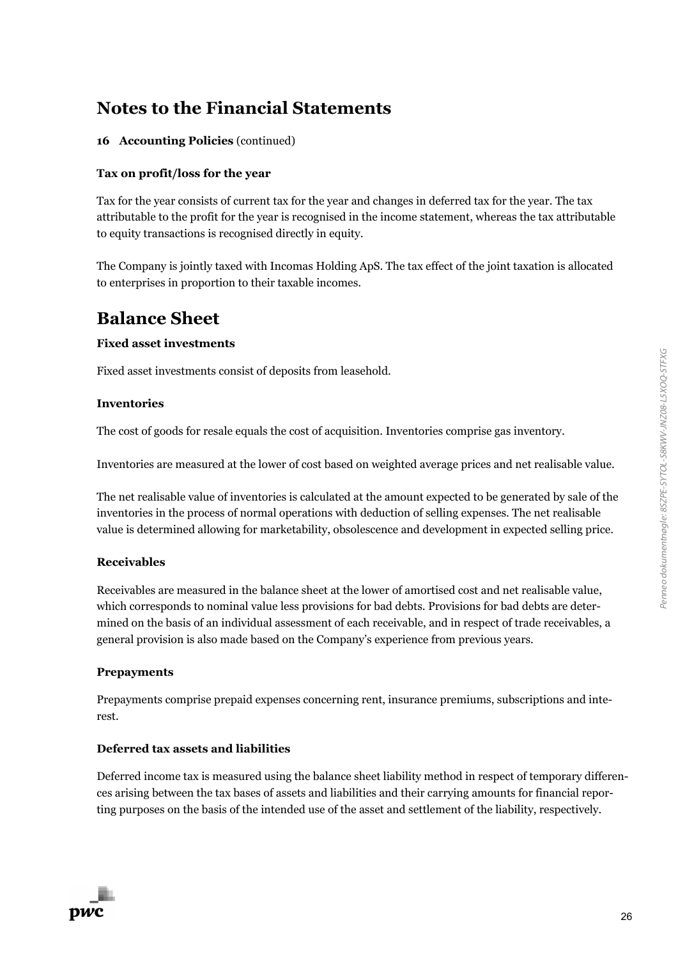### **16 Accounting Policies** (continued)

### **Tax on profit/loss for the year**

Tax for the year consists of current tax for the year and changes in deferred tax for the year. The tax attributable to the profit for the year is recognised in the income statement, whereas the tax attributable to equity transactions is recognised directly in equity.

The Company is jointly taxed with Incomas Holding ApS. The tax effect of the joint taxation is allocated to enterprises in proportion to their taxable incomes.

# **Balance Sheet**

### **Fixed asset investments**

Fixed asset investments consist of deposits from leasehold.

### **Inventories**

The cost of goods for resale equals the cost of acquisition. Inventories comprise gas inventory.

Inventories are measured at the lower of cost based on weighted average prices and net realisable value.

The net realisable value of inventories is calculated at the amount expected to be generated by sale of the inventories in the process of normal operations with deduction of selling expenses. The net realisable value is determined allowing for marketability, obsolescence and development in expected selling price.

### **Receivables**

Receivables are measured in the balance sheet at the lower of amortised cost and net realisable value, which corresponds to nominal value less provisions for bad debts. Provisions for bad debts are determined on the basis of an individual assessment of each receivable, and in respect of trade receivables, a general provision is also made based on the Company's experience from previous years.

### **Prepayments**

Prepayments comprise prepaid expenses concerning rent, insurance premiums, subscriptions and interest.

### **Deferred tax assets and liabilities**

Deferred income tax is measured using the balance sheet liability method in respect of temporary differences arising between the tax bases of assets and liabilities and their carrying amounts for financial reporting purposes on the basis of the intended use of the asset and settlement of the liability, respectively.

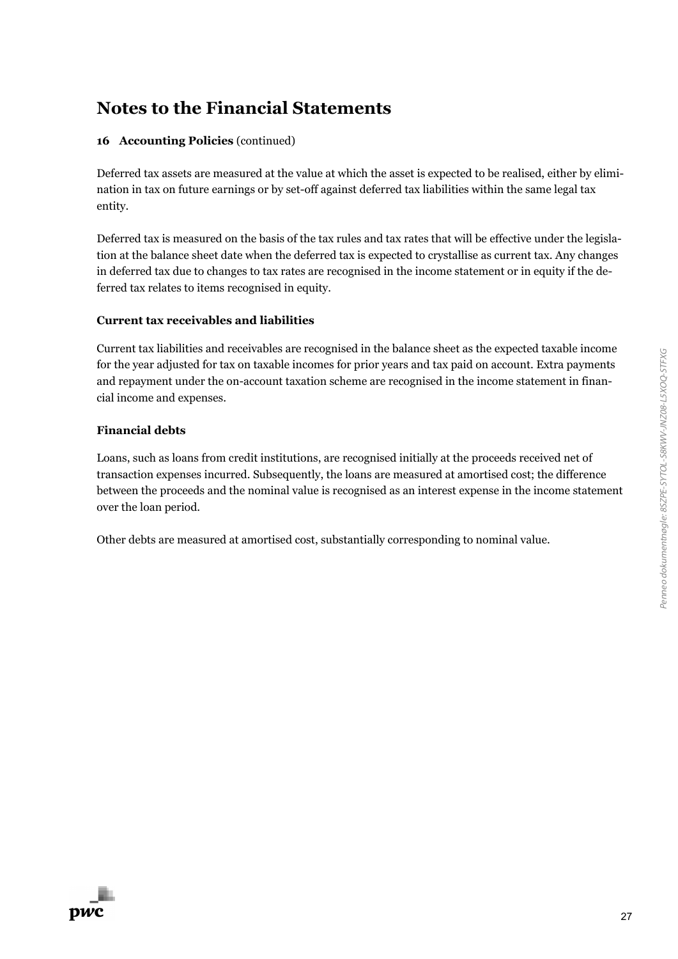#### **16 Accounting Policies** (continued)

Deferred tax assets are measured at the value at which the asset is expected to be realised, either by elimination in tax on future earnings or by set-off against deferred tax liabilities within the same legal tax entity.

Deferred tax is measured on the basis of the tax rules and tax rates that will be effective under the legislation at the balance sheet date when the deferred tax is expected to crystallise as current tax. Any changes in deferred tax due to changes to tax rates are recognised in the income statement or in equity if the deferred tax relates to items recognised in equity.

#### **Current tax receivables and liabilities**

Current tax liabilities and receivables are recognised in the balance sheet as the expected taxable income for the year adjusted for tax on taxable incomes for prior years and tax paid on account. Extra payments and repayment under the on-account taxation scheme are recognised in the income statement in financial income and expenses.

#### **Financial debts**

Loans, such as loans from credit institutions, are recognised initially at the proceeds received net of transaction expenses incurred. Subsequently, the loans are measured at amortised cost; the difference between the proceeds and the nominal value is recognised as an interest expense in the income statement over the loan period.

Other debts are measured at amortised cost, substantially corresponding to nominal value.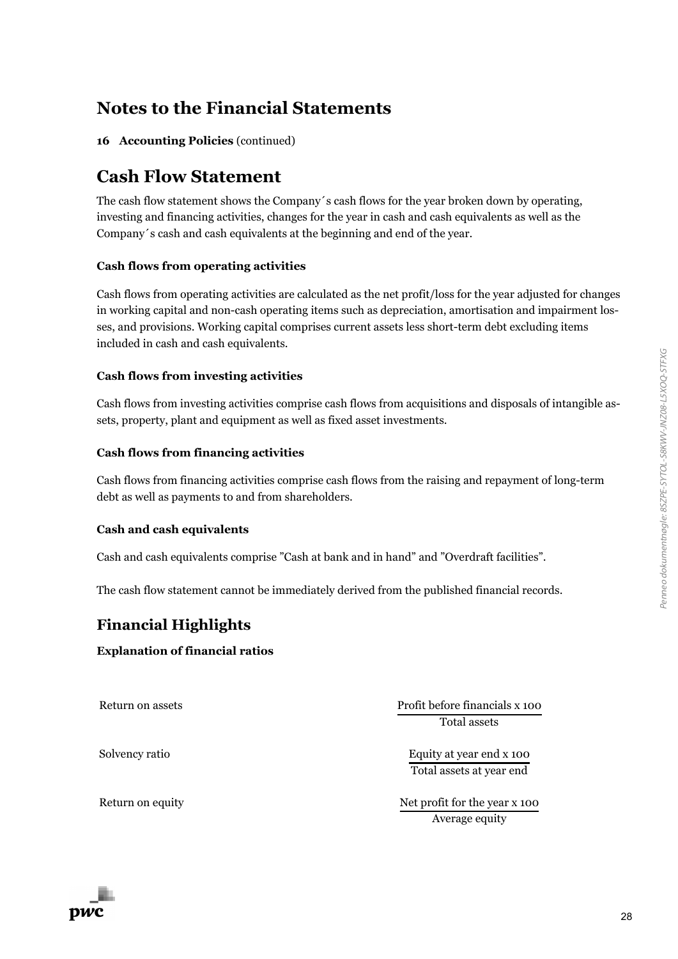Penneo dokumentnøgle: 8SZPE-SYTOL-S8KWV-JNZ08-L5XOQ-STFXG Penneo dokumentnøgle: 8SZPE-SYTOL-S8KWV-JNZ08-L5XOQ-STFXG

### **Notes to the Financial Statements**

**16 Accounting Policies** (continued)

### **Cash Flow Statement**

The cash flow statement shows the Company´s cash flows for the year broken down by operating, investing and financing activities, changes for the year in cash and cash equivalents as well as the Company´s cash and cash equivalents at the beginning and end of the year.

#### **Cash flows from operating activities**

Cash flows from operating activities are calculated as the net profit/loss for the year adjusted for changes in working capital and non-cash operating items such as depreciation, amortisation and impairment losses, and provisions. Working capital comprises current assets less short-term debt excluding items included in cash and cash equivalents.

#### **Cash flows from investing activities**

Cash flows from investing activities comprise cash flows from acquisitions and disposals of intangible assets, property, plant and equipment as well as fixed asset investments.

#### **Cash flows from financing activities**

Cash flows from financing activities comprise cash flows from the raising and repayment of long-term debt as well as payments to and from shareholders.

#### **Cash and cash equivalents**

Cash and cash equivalents comprise "Cash at bank and in hand" and "Overdraft facilities".

The cash flow statement cannot be immediately derived from the published financial records.

### **Financial Highlights**

#### **Explanation of financial ratios**

Return on assets **Profit before financials x 100** Total assets

Solvency ratio **Equity at year end x 100** Total assets at year end

Return on equity Net profit for the year x 100 Average equity

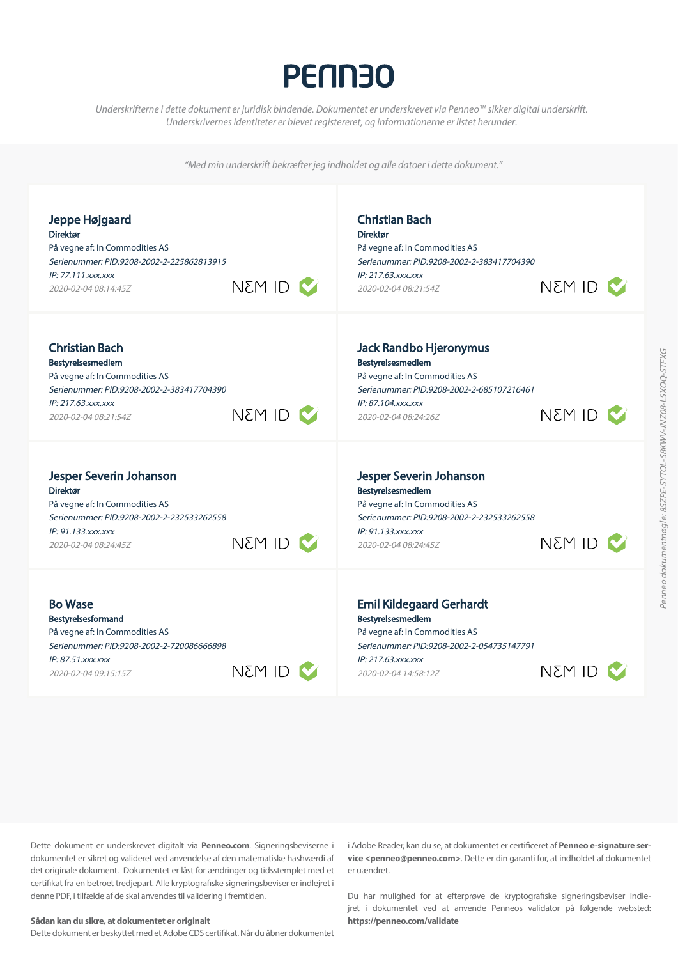# **PENN30**

*Underskrifterne i dette dokument er juridisk bindende. Dokumentet er underskrevet via Penneo™ sikker digital underskrift*. Underskrivernes identiteter er blevet registereret, og informationerne er listet herunder.

"Med min underskrift bekræfter jeg indholdet og alle datoer i dette dokument."

| Jeppe Højgaard                            | <b>Christian Bach</b>                     |
|-------------------------------------------|-------------------------------------------|
| <b>Direktør</b>                           | <b>Direktør</b>                           |
| På vegne af: In Commodities AS            | På vegne af: In Commodities AS            |
| Serienummer: PID:9208-2002-2-225862813915 | Serienummer: PID:9208-2002-2-383417704390 |
| IP: 77.111.xxx.xxx                        | IP: 217.63.xxx.xxx                        |
| NEM ID <b>V</b>                           | NEM ID N                                  |
| 2020-02-04 08:14:45Z                      | 2020-02-04 08:21:54Z                      |
| <b>Christian Bach</b>                     | Jack Randbo Hjeronymus                    |
| Bestyrelsesmedlem                         | Bestyrelsesmedlem                         |
| På vegne af: In Commodities AS            | På vegne af: In Commodities AS            |
| Serienummer: PID:9208-2002-2-383417704390 | Serienummer: PID:9208-2002-2-685107216461 |
| IP: 217.63.xxx.xxx                        | IP: 87.104.xxx.xxx                        |
| NEM ID                                    | NEM ID C                                  |
| 2020-02-04 08:21:54Z                      | 2020-02-04 08:24:26Z                      |
| Jesper Severin Johanson                   | Jesper Severin Johanson                   |
| <b>Direktør</b>                           | Bestyrelsesmedlem                         |
| På vegne af: In Commodities AS            | På vegne af: In Commodities AS            |
| Serienummer: PID:9208-2002-2-232533262558 | Serienummer: PID:9208-2002-2-232533262558 |
| IP: 91.133.xxx.xxx                        | IP: 91.133.xxx.xxx                        |
| OI M3N                                    | NSM ID                                    |
| 2020-02-04 08:24:45Z                      | 2020-02-04 08:24:45Z                      |
| <b>Bo Wase</b>                            | <b>Emil Kildegaard Gerhardt</b>           |
| <b>Bestyrelsesformand</b>                 | Bestyrelsesmedlem                         |
| På vegne af: In Commodities AS            | På vegne af: In Commodities AS            |
| Serienummer: PID:9208-2002-2-720086666898 | Serienummer: PID:9208-2002-2-054735147791 |
| IP: 87.51.xxx.xxx                         | IP: 217.63.xxx.xxx                        |
| NEM ID                                    | Nem Id                                    |
| 2020-02-04 09:15:15Z                      | 2020-02-04 14:58:12Z                      |

Dette dokument er underskrevet digitalt via **Penneo.com**. Signeringsbeviserne i dokumentet er sikret og valideret ved anvendelse af den matematiske hashværdi af det originale dokument. Dokumentet er låst for ændringer og tidsstemplet med et certifikat fra en betroet tredjepart. Alle kryptografiske signeringsbeviser er indlejret i denne PDF, i tilfælde af de skal anvendes til validering i fremtiden.

#### **Sådan kan du sikre, at dokumentet er originalt**

Dette dokument er beskyttet med et Adobe CDS certifikat. Når du åbner dokumentet

i Adobe Reader, kan du se, at dokumentet er certificeret af **Penneo e-signature ser vice <penneo@penneo.com>**. Dette er din garanti for, at indholdet af dokumentet er uændret.

Du har mulighed for at efterprøve de kryptografiske signeringsbeviser indle jret i dokumentet ved at anvende Penneos validator på følgende websted: **https://penneo.com/validate**